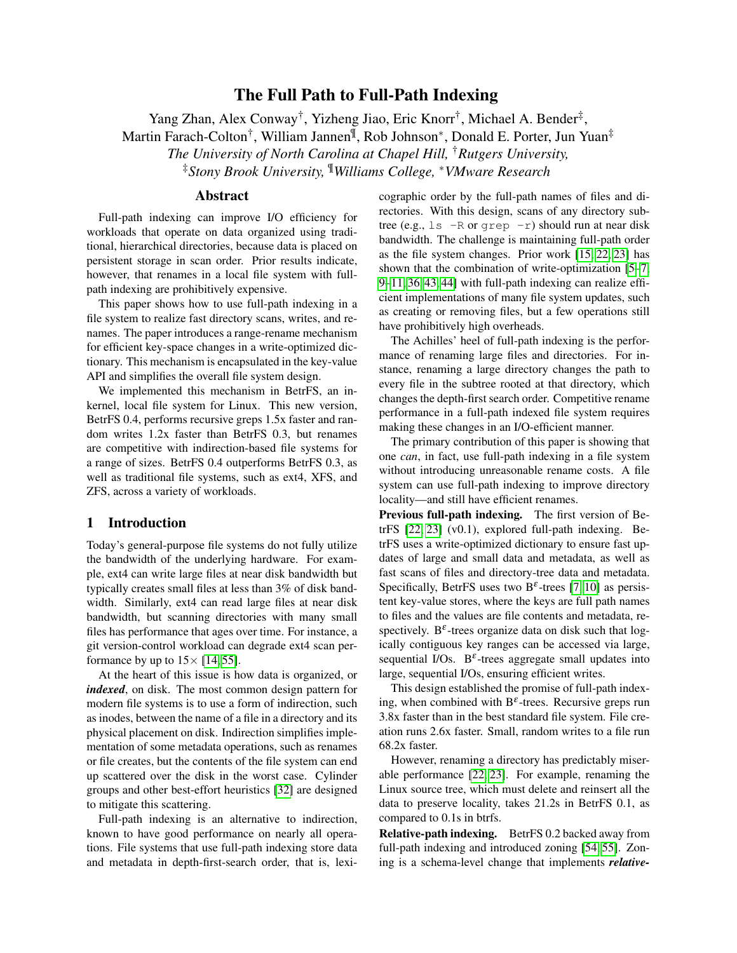# The Full Path to Full-Path Indexing

<span id="page-0-0"></span>Yang Zhan, Alex Conway<sup>†</sup>, Yizheng Jiao, Eric Knorr<sup>†</sup>, Michael A. Bender<sup>‡</sup>, Martin Farach-Colton<sup>†</sup>, William Jannen<sup>¶</sup>, Rob Johnson\*, Donald E. Porter, Jun Yuan<sup>‡</sup> *The University of North Carolina at Chapel Hill,* †*Rutgers University,* ‡*Stony Brook University,* ¶*Williams College,* <sup>∗</sup>*VMware Research*

## Abstract

Full-path indexing can improve I/O efficiency for workloads that operate on data organized using traditional, hierarchical directories, because data is placed on persistent storage in scan order. Prior results indicate, however, that renames in a local file system with fullpath indexing are prohibitively expensive.

This paper shows how to use full-path indexing in a file system to realize fast directory scans, writes, and renames. The paper introduces a range-rename mechanism for efficient key-space changes in a write-optimized dictionary. This mechanism is encapsulated in the key-value API and simplifies the overall file system design.

We implemented this mechanism in BetrFS, an inkernel, local file system for Linux. This new version, BetrFS 0.4, performs recursive greps 1.5x faster and random writes 1.2x faster than BetrFS 0.3, but renames are competitive with indirection-based file systems for a range of sizes. BetrFS 0.4 outperforms BetrFS 0.3, as well as traditional file systems, such as ext4, XFS, and ZFS, across a variety of workloads.

## 1 Introduction

Today's general-purpose file systems do not fully utilize the bandwidth of the underlying hardware. For example, ext4 can write large files at near disk bandwidth but typically creates small files at less than 3% of disk bandwidth. Similarly, ext4 can read large files at near disk bandwidth, but scanning directories with many small files has performance that ages over time. For instance, a git version-control workload can degrade ext4 scan performance by up to  $15 \times [14, 55]$  $15 \times [14, 55]$  $15 \times [14, 55]$ .

At the heart of this issue is how data is organized, or *indexed*, on disk. The most common design pattern for modern file systems is to use a form of indirection, such as inodes, between the name of a file in a directory and its physical placement on disk. Indirection simplifies implementation of some metadata operations, such as renames or file creates, but the contents of the file system can end up scattered over the disk in the worst case. Cylinder groups and other best-effort heuristics [\[32\]](#page-13-0) are designed to mitigate this scattering.

Full-path indexing is an alternative to indirection, known to have good performance on nearly all operations. File systems that use full-path indexing store data and metadata in depth-first-search order, that is, lexicographic order by the full-path names of files and directories. With this design, scans of any directory subtree (e.g.,  $\text{ls}$  -R or grep -r) should run at near disk bandwidth. The challenge is maintaining full-path order as the file system changes. Prior work [\[15,](#page-12-1) [22,](#page-13-1) [23\]](#page-13-2) has shown that the combination of write-optimization [\[5–](#page-12-2)[7,](#page-12-3) [9–](#page-12-4)[11,](#page-12-5) [36,](#page-14-0) [43,](#page-14-1) [44\]](#page-14-2) with full-path indexing can realize efficient implementations of many file system updates, such as creating or removing files, but a few operations still have prohibitively high overheads.

The Achilles' heel of full-path indexing is the performance of renaming large files and directories. For instance, renaming a large directory changes the path to every file in the subtree rooted at that directory, which changes the depth-first search order. Competitive rename performance in a full-path indexed file system requires making these changes in an I/O-efficient manner.

The primary contribution of this paper is showing that one *can*, in fact, use full-path indexing in a file system without introducing unreasonable rename costs. A file system can use full-path indexing to improve directory locality—and still have efficient renames.

Previous full-path indexing. The first version of BetrFS [\[22,](#page-13-1) [23\]](#page-13-2) (v0.1), explored full-path indexing. BetrFS uses a write-optimized dictionary to ensure fast updates of large and small data and metadata, as well as fast scans of files and directory-tree data and metadata. Specifically, BetrFS uses two B<sup> $\varepsilon$ </sup>-trees [\[7,](#page-12-3) [10\]](#page-12-6) as persistent key-value stores, where the keys are full path names to files and the values are file contents and metadata, respectively. B<sup> $\varepsilon$ </sup>-trees organize data on disk such that logically contiguous key ranges can be accessed via large, sequential I/Os.  $B^{\varepsilon}$ -trees aggregate small updates into large, sequential I/Os, ensuring efficient writes.

This design established the promise of full-path indexing, when combined with  $B^{\varepsilon}$ -trees. Recursive greps run 3.8x faster than in the best standard file system. File creation runs 2.6x faster. Small, random writes to a file run 68.2x faster.

However, renaming a directory has predictably miserable performance [\[22,](#page-13-1) [23\]](#page-13-2). For example, renaming the Linux source tree, which must delete and reinsert all the data to preserve locality, takes 21.2s in BetrFS 0.1, as compared to 0.1s in btrfs.

Relative-path indexing. BetrFS 0.2 backed away from full-path indexing and introduced zoning [\[54,](#page-15-1) [55\]](#page-15-0). Zoning is a schema-level change that implements *relative-*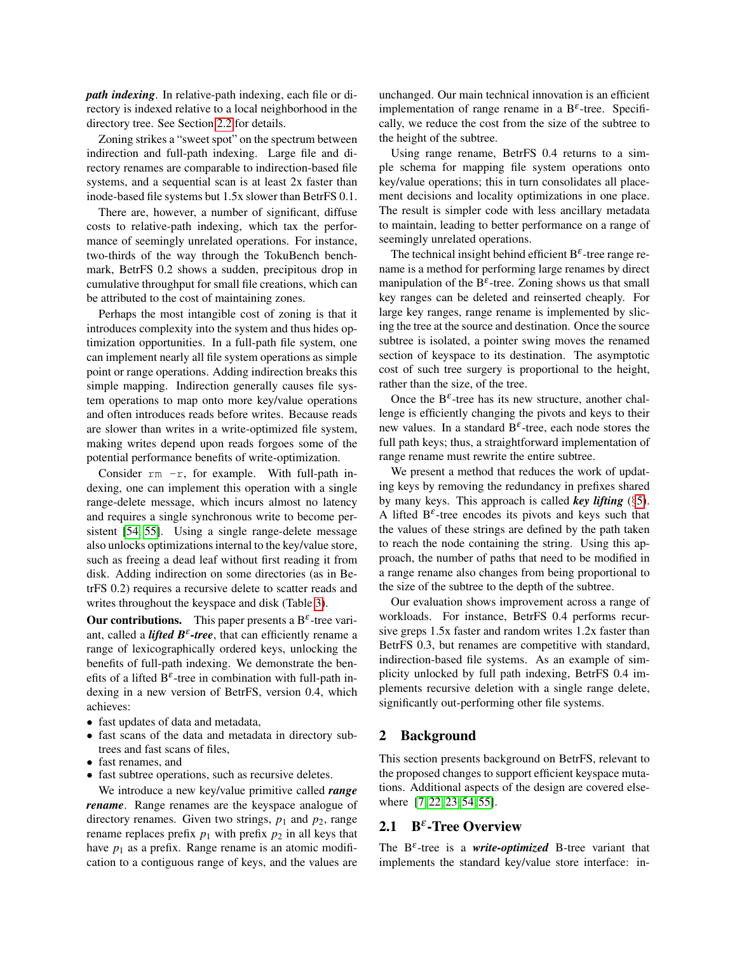*path indexing*. In relative-path indexing, each file or directory is indexed relative to a local neighborhood in the directory tree. See Section [2.2](#page-2-0) for details.

Zoning strikes a "sweet spot" on the spectrum between indirection and full-path indexing. Large file and directory renames are comparable to indirection-based file systems, and a sequential scan is at least 2x faster than inode-based file systems but 1.5x slower than BetrFS 0.1.

There are, however, a number of significant, diffuse costs to relative-path indexing, which tax the performance of seemingly unrelated operations. For instance, two-thirds of the way through the TokuBench benchmark, BetrFS 0.2 shows a sudden, precipitous drop in cumulative throughput for small file creations, which can be attributed to the cost of maintaining zones.

Perhaps the most intangible cost of zoning is that it introduces complexity into the system and thus hides optimization opportunities. In a full-path file system, one can implement nearly all file system operations as simple point or range operations. Adding indirection breaks this simple mapping. Indirection generally causes file system operations to map onto more key/value operations and often introduces reads before writes. Because reads are slower than writes in a write-optimized file system, making writes depend upon reads forgoes some of the potential performance benefits of write-optimization.

Consider  $rm -r$ , for example. With full-path indexing, one can implement this operation with a single range-delete message, which incurs almost no latency and requires a single synchronous write to become persistent [\[54,](#page-15-1) [55\]](#page-15-0). Using a single range-delete message also unlocks optimizations internal to the key/value store, such as freeing a dead leaf without first reading it from disk. Adding indirection on some directories (as in BetrFS 0.2) requires a recursive delete to scatter reads and writes throughout the keyspace and disk (Table [3\)](#page-10-0).

**Our contributions.** This paper presents a  $B^{\varepsilon}$ -tree variant, called a *lifted B*<sup>ε</sup> *-tree*, that can efficiently rename a range of lexicographically ordered keys, unlocking the benefits of full-path indexing. We demonstrate the benefits of a lifted  $B^{\varepsilon}$ -tree in combination with full-path indexing in a new version of BetrFS, version 0.4, which achieves:

- fast updates of data and metadata,
- fast scans of the data and metadata in directory subtrees and fast scans of files,
- fast renames, and
- fast subtree operations, such as recursive deletes.

We introduce a new key/value primitive called *range rename*. Range renames are the keyspace analogue of directory renames. Given two strings,  $p_1$  and  $p_2$ , range rename replaces prefix  $p_1$  with prefix  $p_2$  in all keys that have  $p_1$  as a prefix. Range rename is an atomic modification to a contiguous range of keys, and the values are unchanged. Our main technical innovation is an efficient implementation of range rename in a  $B^{\varepsilon}$ -tree. Specifically, we reduce the cost from the size of the subtree to the height of the subtree.

Using range rename, BetrFS 0.4 returns to a simple schema for mapping file system operations onto key/value operations; this in turn consolidates all placement decisions and locality optimizations in one place. The result is simpler code with less ancillary metadata to maintain, leading to better performance on a range of seemingly unrelated operations.

The technical insight behind efficient  $B^{\varepsilon}$ -tree range rename is a method for performing large renames by direct manipulation of the  $B^{\varepsilon}$ -tree. Zoning shows us that small key ranges can be deleted and reinserted cheaply. For large key ranges, range rename is implemented by slicing the tree at the source and destination. Once the source subtree is isolated, a pointer swing moves the renamed section of keyspace to its destination. The asymptotic cost of such tree surgery is proportional to the height, rather than the size, of the tree.

Once the  $B^{\varepsilon}$ -tree has its new structure, another challenge is efficiently changing the pivots and keys to their new values. In a standard  $B^{\varepsilon}$ -tree, each node stores the full path keys; thus, a straightforward implementation of range rename must rewrite the entire subtree.

We present a method that reduces the work of updating keys by removing the redundancy in prefixes shared by many keys. This approach is called *key lifting* (§[5\)](#page-6-0). A lifted  $B^{\varepsilon}$ -tree encodes its pivots and keys such that the values of these strings are defined by the path taken to reach the node containing the string. Using this approach, the number of paths that need to be modified in a range rename also changes from being proportional to the size of the subtree to the depth of the subtree.

Our evaluation shows improvement across a range of workloads. For instance, BetrFS 0.4 performs recursive greps 1.5x faster and random writes 1.2x faster than BetrFS 0.3, but renames are competitive with standard, indirection-based file systems. As an example of simplicity unlocked by full path indexing, BetrFS 0.4 implements recursive deletion with a single range delete, significantly out-performing other file systems.

#### 2 Background

This section presents background on BetrFS, relevant to the proposed changes to support efficient keyspace mutations. Additional aspects of the design are covered else-where [\[7,](#page-12-3) [22,](#page-13-1) [23,](#page-13-2) [54,](#page-15-1) [55\]](#page-15-0).

## 2.1  $B^{\varepsilon}$ -Tree Overview

The  $B^{\varepsilon}$ -tree is a *write-optimized* B-tree variant that implements the standard key/value store interface: in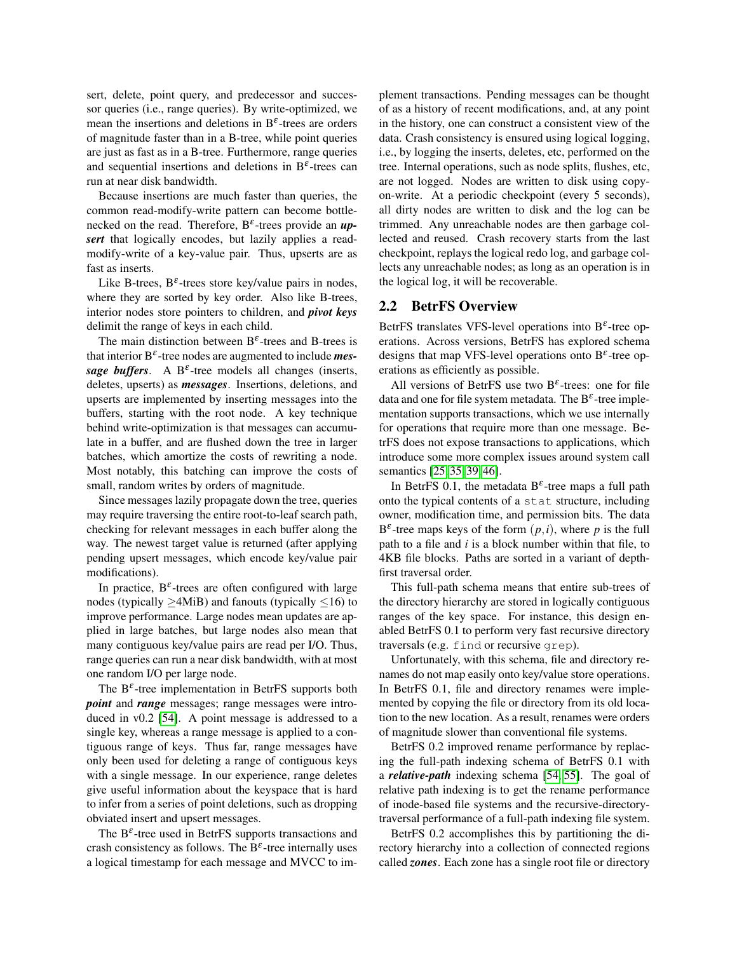sert, delete, point query, and predecessor and successor queries (i.e., range queries). By write-optimized, we mean the insertions and deletions in  $B^{\varepsilon}$ -trees are orders of magnitude faster than in a B-tree, while point queries are just as fast as in a B-tree. Furthermore, range queries and sequential insertions and deletions in  $B^{\varepsilon}$ -trees can run at near disk bandwidth.

Because insertions are much faster than queries, the common read-modify-write pattern can become bottlenecked on the read. Therefore, B<sup>ε</sup> -trees provide an *upsert* that logically encodes, but lazily applies a readmodify-write of a key-value pair. Thus, upserts are as fast as inserts.

Like B-trees,  $B^{\varepsilon}$ -trees store key/value pairs in nodes, where they are sorted by key order. Also like B-trees, interior nodes store pointers to children, and *pivot keys* delimit the range of keys in each child.

The main distinction between  $B^{\varepsilon}$ -trees and B-trees is that interior B<sup>ε</sup> -tree nodes are augmented to include *mes*sage buffers. A  $B^{\varepsilon}$ -tree models all changes (inserts, deletes, upserts) as *messages*. Insertions, deletions, and upserts are implemented by inserting messages into the buffers, starting with the root node. A key technique behind write-optimization is that messages can accumulate in a buffer, and are flushed down the tree in larger batches, which amortize the costs of rewriting a node. Most notably, this batching can improve the costs of small, random writes by orders of magnitude.

Since messages lazily propagate down the tree, queries may require traversing the entire root-to-leaf search path, checking for relevant messages in each buffer along the way. The newest target value is returned (after applying pending upsert messages, which encode key/value pair modifications).

In practice,  $B^{\varepsilon}$ -trees are often configured with large nodes (typically  $\geq$ 4MiB) and fanouts (typically  $\leq$ 16) to improve performance. Large nodes mean updates are applied in large batches, but large nodes also mean that many contiguous key/value pairs are read per I/O. Thus, range queries can run a near disk bandwidth, with at most one random I/O per large node.

The  $B^{\varepsilon}$ -tree implementation in BetrFS supports both *point* and *range* messages; range messages were introduced in v0.2 [\[54\]](#page-15-1). A point message is addressed to a single key, whereas a range message is applied to a contiguous range of keys. Thus far, range messages have only been used for deleting a range of contiguous keys with a single message. In our experience, range deletes give useful information about the keyspace that is hard to infer from a series of point deletions, such as dropping obviated insert and upsert messages.

The  $B^{\varepsilon}$ -tree used in BetrFS supports transactions and crash consistency as follows. The  $B^{\varepsilon}$ -tree internally uses a logical timestamp for each message and MVCC to implement transactions. Pending messages can be thought of as a history of recent modifications, and, at any point in the history, one can construct a consistent view of the data. Crash consistency is ensured using logical logging, i.e., by logging the inserts, deletes, etc, performed on the tree. Internal operations, such as node splits, flushes, etc, are not logged. Nodes are written to disk using copyon-write. At a periodic checkpoint (every 5 seconds), all dirty nodes are written to disk and the log can be trimmed. Any unreachable nodes are then garbage collected and reused. Crash recovery starts from the last checkpoint, replays the logical redo log, and garbage collects any unreachable nodes; as long as an operation is in the logical log, it will be recoverable.

## <span id="page-2-0"></span>2.2 BetrFS Overview

BetrFS translates VFS-level operations into  $B^{\varepsilon}$ -tree operations. Across versions, BetrFS has explored schema designs that map VFS-level operations onto  $B^{\varepsilon}$ -tree operations as efficiently as possible.

All versions of BetrFS use two  $B^{\varepsilon}$ -trees: one for file data and one for file system metadata. The  $B^{\varepsilon}$ -tree implementation supports transactions, which we use internally for operations that require more than one message. BetrFS does not expose transactions to applications, which introduce some more complex issues around system call semantics [\[25,](#page-13-3) [35,](#page-14-3) [39,](#page-14-4) [46\]](#page-14-5).

In BetrFS 0.1, the metadata  $B^{\varepsilon}$ -tree maps a full path onto the typical contents of a stat structure, including owner, modification time, and permission bits. The data  $B^{\varepsilon}$ -tree maps keys of the form  $(p, i)$ , where p is the full path to a file and *i* is a block number within that file, to 4KB file blocks. Paths are sorted in a variant of depthfirst traversal order.

This full-path schema means that entire sub-trees of the directory hierarchy are stored in logically contiguous ranges of the key space. For instance, this design enabled BetrFS 0.1 to perform very fast recursive directory traversals (e.g. find or recursive grep).

Unfortunately, with this schema, file and directory renames do not map easily onto key/value store operations. In BetrFS 0.1, file and directory renames were implemented by copying the file or directory from its old location to the new location. As a result, renames were orders of magnitude slower than conventional file systems.

BetrFS 0.2 improved rename performance by replacing the full-path indexing schema of BetrFS 0.1 with a *relative-path* indexing schema [\[54,](#page-15-1) [55\]](#page-15-0). The goal of relative path indexing is to get the rename performance of inode-based file systems and the recursive-directorytraversal performance of a full-path indexing file system.

BetrFS 0.2 accomplishes this by partitioning the directory hierarchy into a collection of connected regions called *zones*. Each zone has a single root file or directory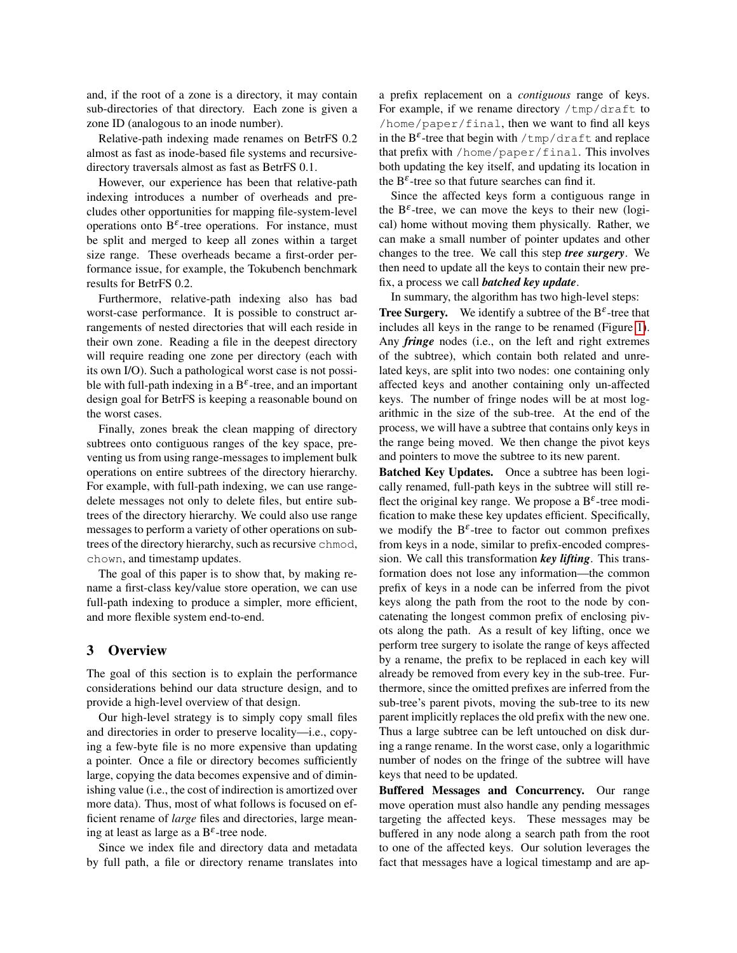and, if the root of a zone is a directory, it may contain sub-directories of that directory. Each zone is given a zone ID (analogous to an inode number).

Relative-path indexing made renames on BetrFS 0.2 almost as fast as inode-based file systems and recursivedirectory traversals almost as fast as BetrFS 0.1.

However, our experience has been that relative-path indexing introduces a number of overheads and precludes other opportunities for mapping file-system-level operations onto  $B^{\varepsilon}$ -tree operations. For instance, must be split and merged to keep all zones within a target size range. These overheads became a first-order performance issue, for example, the Tokubench benchmark results for BetrFS 0.2.

Furthermore, relative-path indexing also has bad worst-case performance. It is possible to construct arrangements of nested directories that will each reside in their own zone. Reading a file in the deepest directory will require reading one zone per directory (each with its own I/O). Such a pathological worst case is not possible with full-path indexing in a  $B^{\varepsilon}$ -tree, and an important design goal for BetrFS is keeping a reasonable bound on the worst cases.

Finally, zones break the clean mapping of directory subtrees onto contiguous ranges of the key space, preventing us from using range-messages to implement bulk operations on entire subtrees of the directory hierarchy. For example, with full-path indexing, we can use rangedelete messages not only to delete files, but entire subtrees of the directory hierarchy. We could also use range messages to perform a variety of other operations on subtrees of the directory hierarchy, such as recursive chmod, chown, and timestamp updates.

The goal of this paper is to show that, by making rename a first-class key/value store operation, we can use full-path indexing to produce a simpler, more efficient, and more flexible system end-to-end.

## 3 Overview

The goal of this section is to explain the performance considerations behind our data structure design, and to provide a high-level overview of that design.

Our high-level strategy is to simply copy small files and directories in order to preserve locality—i.e., copying a few-byte file is no more expensive than updating a pointer. Once a file or directory becomes sufficiently large, copying the data becomes expensive and of diminishing value (i.e., the cost of indirection is amortized over more data). Thus, most of what follows is focused on efficient rename of *large* files and directories, large meaning at least as large as a  $B^{\varepsilon}$ -tree node.

Since we index file and directory data and metadata by full path, a file or directory rename translates into a prefix replacement on a *contiguous* range of keys. For example, if we rename directory /tmp/draft to /home/paper/final, then we want to find all keys in the  $B^{\varepsilon}$ -tree that begin with /tmp/draft and replace that prefix with /home/paper/final. This involves both updating the key itself, and updating its location in the  $B^{\varepsilon}$ -tree so that future searches can find it.

Since the affected keys form a contiguous range in the  $B^{\varepsilon}$ -tree, we can move the keys to their new (logical) home without moving them physically. Rather, we can make a small number of pointer updates and other changes to the tree. We call this step *tree surgery*. We then need to update all the keys to contain their new prefix, a process we call *batched key update*.

In summary, the algorithm has two high-level steps: **Tree Surgery.** We identify a subtree of the  $B^{\varepsilon}$ -tree that includes all keys in the range to be renamed (Figure [1\)](#page-4-0). Any *fringe* nodes (i.e., on the left and right extremes of the subtree), which contain both related and unrelated keys, are split into two nodes: one containing only affected keys and another containing only un-affected keys. The number of fringe nodes will be at most logarithmic in the size of the sub-tree. At the end of the process, we will have a subtree that contains only keys in the range being moved. We then change the pivot keys and pointers to move the subtree to its new parent.

Batched Key Updates. Once a subtree has been logically renamed, full-path keys in the subtree will still reflect the original key range. We propose a  $B^{\varepsilon}$ -tree modification to make these key updates efficient. Specifically, we modify the  $B^{\varepsilon}$ -tree to factor out common prefixes from keys in a node, similar to prefix-encoded compression. We call this transformation *key lifting*. This transformation does not lose any information—the common prefix of keys in a node can be inferred from the pivot keys along the path from the root to the node by concatenating the longest common prefix of enclosing pivots along the path. As a result of key lifting, once we perform tree surgery to isolate the range of keys affected by a rename, the prefix to be replaced in each key will already be removed from every key in the sub-tree. Furthermore, since the omitted prefixes are inferred from the sub-tree's parent pivots, moving the sub-tree to its new parent implicitly replaces the old prefix with the new one. Thus a large subtree can be left untouched on disk during a range rename. In the worst case, only a logarithmic number of nodes on the fringe of the subtree will have keys that need to be updated.

Buffered Messages and Concurrency. Our range move operation must also handle any pending messages targeting the affected keys. These messages may be buffered in any node along a search path from the root to one of the affected keys. Our solution leverages the fact that messages have a logical timestamp and are ap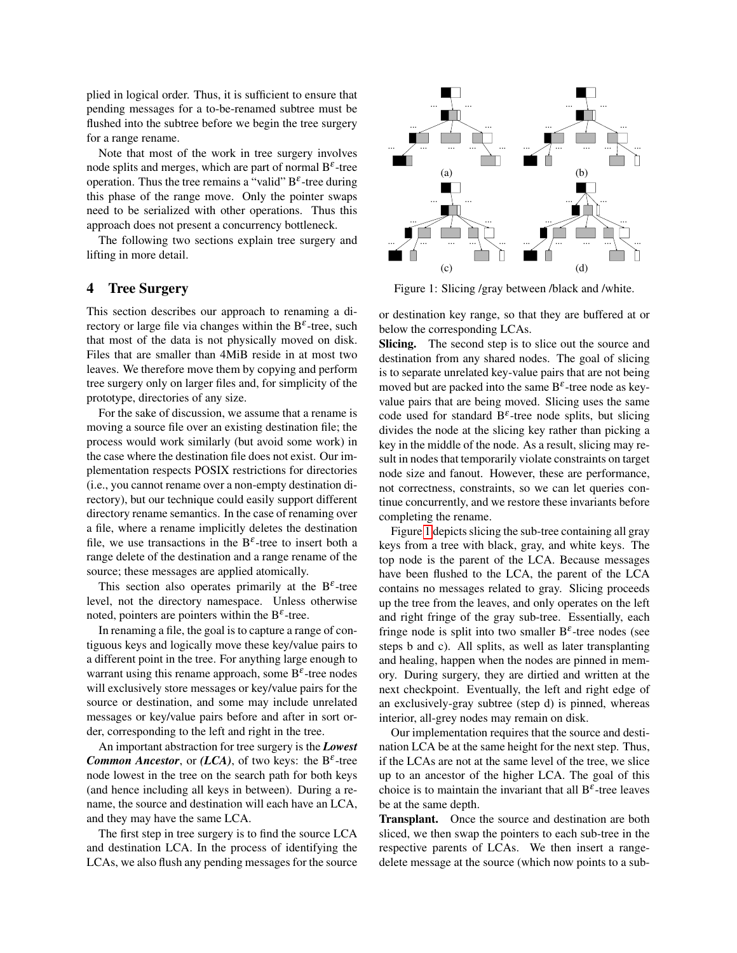plied in logical order. Thus, it is sufficient to ensure that pending messages for a to-be-renamed subtree must be flushed into the subtree before we begin the tree surgery for a range rename.

Note that most of the work in tree surgery involves node splits and merges, which are part of normal  $B^{\varepsilon}$ -tree operation. Thus the tree remains a "valid"  $B^{\varepsilon}$ -tree during this phase of the range move. Only the pointer swaps need to be serialized with other operations. Thus this approach does not present a concurrency bottleneck.

The following two sections explain tree surgery and lifting in more detail.

## 4 Tree Surgery

This section describes our approach to renaming a directory or large file via changes within the  $B^{\varepsilon}$ -tree, such that most of the data is not physically moved on disk. Files that are smaller than 4MiB reside in at most two leaves. We therefore move them by copying and perform tree surgery only on larger files and, for simplicity of the prototype, directories of any size.

For the sake of discussion, we assume that a rename is moving a source file over an existing destination file; the process would work similarly (but avoid some work) in the case where the destination file does not exist. Our implementation respects POSIX restrictions for directories (i.e., you cannot rename over a non-empty destination directory), but our technique could easily support different directory rename semantics. In the case of renaming over a file, where a rename implicitly deletes the destination file, we use transactions in the  $B^{\varepsilon}$ -tree to insert both a range delete of the destination and a range rename of the source; these messages are applied atomically.

This section also operates primarily at the  $B^{\varepsilon}$ -tree level, not the directory namespace. Unless otherwise noted, pointers are pointers within the  $B^{\varepsilon}$ -tree.

In renaming a file, the goal is to capture a range of contiguous keys and logically move these key/value pairs to a different point in the tree. For anything large enough to warrant using this rename approach, some  $B^{\varepsilon}$ -tree nodes will exclusively store messages or key/value pairs for the source or destination, and some may include unrelated messages or key/value pairs before and after in sort order, corresponding to the left and right in the tree.

An important abstraction for tree surgery is the *Lowest* **Common Ancestor**, or  $(LCA)$ , of two keys: the  $B^{\varepsilon}$ -tree node lowest in the tree on the search path for both keys (and hence including all keys in between). During a rename, the source and destination will each have an LCA, and they may have the same LCA.

The first step in tree surgery is to find the source LCA and destination LCA. In the process of identifying the LCAs, we also flush any pending messages for the source

<span id="page-4-0"></span>

Figure 1: Slicing /gray between /black and /white.

or destination key range, so that they are buffered at or below the corresponding LCAs.

Slicing. The second step is to slice out the source and destination from any shared nodes. The goal of slicing is to separate unrelated key-value pairs that are not being moved but are packed into the same  $B^{\varepsilon}$ -tree node as keyvalue pairs that are being moved. Slicing uses the same code used for standard  $B^{\varepsilon}$ -tree node splits, but slicing divides the node at the slicing key rather than picking a key in the middle of the node. As a result, slicing may result in nodes that temporarily violate constraints on target node size and fanout. However, these are performance, not correctness, constraints, so we can let queries continue concurrently, and we restore these invariants before completing the rename.

Figure [1](#page-4-0) depicts slicing the sub-tree containing all gray keys from a tree with black, gray, and white keys. The top node is the parent of the LCA. Because messages have been flushed to the LCA, the parent of the LCA contains no messages related to gray. Slicing proceeds up the tree from the leaves, and only operates on the left and right fringe of the gray sub-tree. Essentially, each fringe node is split into two smaller  $B^{\varepsilon}$ -tree nodes (see steps b and c). All splits, as well as later transplanting and healing, happen when the nodes are pinned in memory. During surgery, they are dirtied and written at the next checkpoint. Eventually, the left and right edge of an exclusively-gray subtree (step d) is pinned, whereas interior, all-grey nodes may remain on disk.

Our implementation requires that the source and destination LCA be at the same height for the next step. Thus, if the LCAs are not at the same level of the tree, we slice up to an ancestor of the higher LCA. The goal of this choice is to maintain the invariant that all  $B^{\varepsilon}$ -tree leaves be at the same depth.

Transplant. Once the source and destination are both sliced, we then swap the pointers to each sub-tree in the respective parents of LCAs. We then insert a rangedelete message at the source (which now points to a sub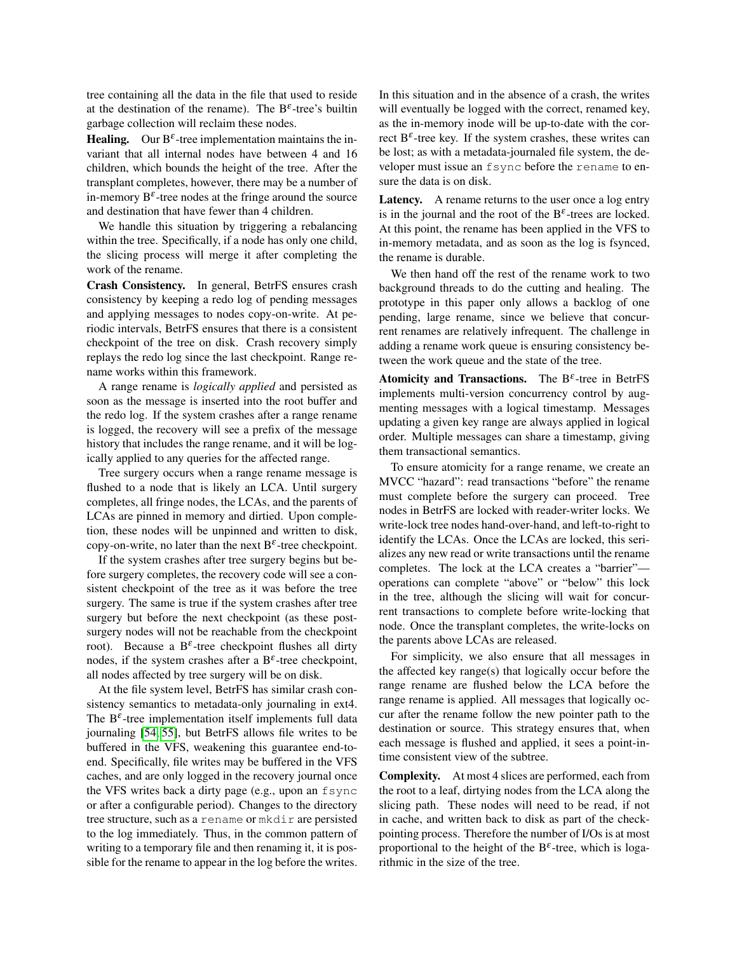tree containing all the data in the file that used to reside at the destination of the rename). The  $B^{\varepsilon}$ -tree's builtin garbage collection will reclaim these nodes.

**Healing.** Our  $B^{\varepsilon}$ -tree implementation maintains the invariant that all internal nodes have between 4 and 16 children, which bounds the height of the tree. After the transplant completes, however, there may be a number of in-memory  $B^{\varepsilon}$ -tree nodes at the fringe around the source and destination that have fewer than 4 children.

We handle this situation by triggering a rebalancing within the tree. Specifically, if a node has only one child, the slicing process will merge it after completing the work of the rename.

Crash Consistency. In general, BetrFS ensures crash consistency by keeping a redo log of pending messages and applying messages to nodes copy-on-write. At periodic intervals, BetrFS ensures that there is a consistent checkpoint of the tree on disk. Crash recovery simply replays the redo log since the last checkpoint. Range rename works within this framework.

A range rename is *logically applied* and persisted as soon as the message is inserted into the root buffer and the redo log. If the system crashes after a range rename is logged, the recovery will see a prefix of the message history that includes the range rename, and it will be logically applied to any queries for the affected range.

Tree surgery occurs when a range rename message is flushed to a node that is likely an LCA. Until surgery completes, all fringe nodes, the LCAs, and the parents of LCAs are pinned in memory and dirtied. Upon completion, these nodes will be unpinned and written to disk, copy-on-write, no later than the next  $B^{\varepsilon}$ -tree checkpoint.

If the system crashes after tree surgery begins but before surgery completes, the recovery code will see a consistent checkpoint of the tree as it was before the tree surgery. The same is true if the system crashes after tree surgery but before the next checkpoint (as these postsurgery nodes will not be reachable from the checkpoint root). Because a B<sup> $\varepsilon$ </sup>-tree checkpoint flushes all dirty nodes, if the system crashes after a  $B^{\varepsilon}$ -tree checkpoint, all nodes affected by tree surgery will be on disk.

At the file system level, BetrFS has similar crash consistency semantics to metadata-only journaling in ext4. The  $B^{\varepsilon}$ -tree implementation itself implements full data journaling [\[54,](#page-15-1) [55\]](#page-15-0), but BetrFS allows file writes to be buffered in the VFS, weakening this guarantee end-toend. Specifically, file writes may be buffered in the VFS caches, and are only logged in the recovery journal once the VFS writes back a dirty page (e.g., upon an fsync or after a configurable period). Changes to the directory tree structure, such as a rename or mkdir are persisted to the log immediately. Thus, in the common pattern of writing to a temporary file and then renaming it, it is possible for the rename to appear in the log before the writes. In this situation and in the absence of a crash, the writes will eventually be logged with the correct, renamed key, as the in-memory inode will be up-to-date with the correct  $B^{\varepsilon}$ -tree key. If the system crashes, these writes can be lost; as with a metadata-journaled file system, the developer must issue an fsync before the rename to ensure the data is on disk.

Latency. A rename returns to the user once a log entry is in the journal and the root of the  $B^{\varepsilon}$ -trees are locked. At this point, the rename has been applied in the VFS to in-memory metadata, and as soon as the log is fsynced, the rename is durable.

We then hand off the rest of the rename work to two background threads to do the cutting and healing. The prototype in this paper only allows a backlog of one pending, large rename, since we believe that concurrent renames are relatively infrequent. The challenge in adding a rename work queue is ensuring consistency between the work queue and the state of the tree.

Atomicity and Transactions. The  $B^{\varepsilon}$ -tree in BetrFS implements multi-version concurrency control by augmenting messages with a logical timestamp. Messages updating a given key range are always applied in logical order. Multiple messages can share a timestamp, giving them transactional semantics.

To ensure atomicity for a range rename, we create an MVCC "hazard": read transactions "before" the rename must complete before the surgery can proceed. Tree nodes in BetrFS are locked with reader-writer locks. We write-lock tree nodes hand-over-hand, and left-to-right to identify the LCAs. Once the LCAs are locked, this serializes any new read or write transactions until the rename completes. The lock at the LCA creates a "barrier" operations can complete "above" or "below" this lock in the tree, although the slicing will wait for concurrent transactions to complete before write-locking that node. Once the transplant completes, the write-locks on the parents above LCAs are released.

For simplicity, we also ensure that all messages in the affected key range(s) that logically occur before the range rename are flushed below the LCA before the range rename is applied. All messages that logically occur after the rename follow the new pointer path to the destination or source. This strategy ensures that, when each message is flushed and applied, it sees a point-intime consistent view of the subtree.

Complexity. At most 4 slices are performed, each from the root to a leaf, dirtying nodes from the LCA along the slicing path. These nodes will need to be read, if not in cache, and written back to disk as part of the checkpointing process. Therefore the number of I/Os is at most proportional to the height of the  $B^{\varepsilon}$ -tree, which is logarithmic in the size of the tree.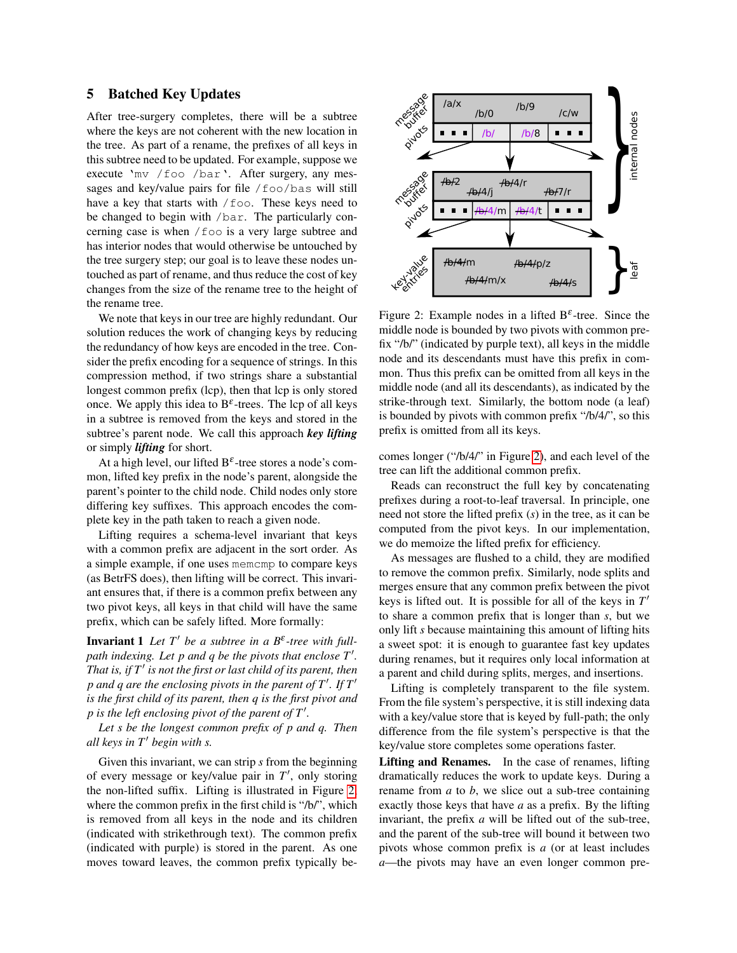## <span id="page-6-0"></span>5 Batched Key Updates

After tree-surgery completes, there will be a subtree where the keys are not coherent with the new location in the tree. As part of a rename, the prefixes of all keys in this subtree need to be updated. For example, suppose we execute 'mv /foo /bar'. After surgery, any messages and key/value pairs for file /foo/bas will still have a key that starts with / foo. These keys need to be changed to begin with /bar. The particularly concerning case is when /foo is a very large subtree and has interior nodes that would otherwise be untouched by the tree surgery step; our goal is to leave these nodes untouched as part of rename, and thus reduce the cost of key changes from the size of the rename tree to the height of the rename tree.

We note that keys in our tree are highly redundant. Our solution reduces the work of changing keys by reducing the redundancy of how keys are encoded in the tree. Consider the prefix encoding for a sequence of strings. In this compression method, if two strings share a substantial longest common prefix (lcp), then that lcp is only stored once. We apply this idea to  $B^{\varepsilon}$ -trees. The lcp of all keys in a subtree is removed from the keys and stored in the subtree's parent node. We call this approach *key lifting* or simply *lifting* for short.

At a high level, our lifted  $B^{\varepsilon}$ -tree stores a node's common, lifted key prefix in the node's parent, alongside the parent's pointer to the child node. Child nodes only store differing key suffixes. This approach encodes the complete key in the path taken to reach a given node.

Lifting requires a schema-level invariant that keys with a common prefix are adjacent in the sort order. As a simple example, if one uses memcmp to compare keys (as BetrFS does), then lifting will be correct. This invariant ensures that, if there is a common prefix between any two pivot keys, all keys in that child will have the same prefix, which can be safely lifted. More formally:

**Invariant 1** Let  $T'$  be a subtree in a  $B^{\varepsilon}$ -tree with full*path indexing. Let p and q be the pivots that enclose T'. That is, if T*<sup>0</sup> *is not the first or last child of its parent, then*  $p$  and  $q$  are the enclosing pivots in the parent of  $T'$ . If  $T'$ *is the first child of its parent, then q is the first pivot and*  $p$  is the left enclosing pivot of the parent of  $T'$ .

*Let s be the longest common prefix of p and q. Then all keys in*  $T'$  *begin with s.* 

Given this invariant, we can strip *s* from the beginning of every message or key/value pair in  $T'$ , only storing the non-lifted suffix. Lifting is illustrated in Figure [2,](#page-6-1) where the common prefix in the first child is "/b/", which is removed from all keys in the node and its children (indicated with strikethrough text). The common prefix (indicated with purple) is stored in the parent. As one moves toward leaves, the common prefix typically be-

<span id="page-6-1"></span>

Figure 2: Example nodes in a lifted  $B^{\varepsilon}$ -tree. Since the middle node is bounded by two pivots with common prefix "/b/" (indicated by purple text), all keys in the middle node and its descendants must have this prefix in common. Thus this prefix can be omitted from all keys in the middle node (and all its descendants), as indicated by the strike-through text. Similarly, the bottom node (a leaf) is bounded by pivots with common prefix "/b/4/", so this prefix is omitted from all its keys.

comes longer ("/b/4/" in Figure [2\)](#page-6-1), and each level of the tree can lift the additional common prefix.

Reads can reconstruct the full key by concatenating prefixes during a root-to-leaf traversal. In principle, one need not store the lifted prefix (*s*) in the tree, as it can be computed from the pivot keys. In our implementation, we do memoize the lifted prefix for efficiency.

As messages are flushed to a child, they are modified to remove the common prefix. Similarly, node splits and merges ensure that any common prefix between the pivot keys is lifted out. It is possible for all of the keys in *T* 0 to share a common prefix that is longer than *s*, but we only lift *s* because maintaining this amount of lifting hits a sweet spot: it is enough to guarantee fast key updates during renames, but it requires only local information at a parent and child during splits, merges, and insertions.

Lifting is completely transparent to the file system. From the file system's perspective, it is still indexing data with a key/value store that is keyed by full-path; the only difference from the file system's perspective is that the key/value store completes some operations faster.

Lifting and Renames. In the case of renames, lifting dramatically reduces the work to update keys. During a rename from *a* to *b*, we slice out a sub-tree containing exactly those keys that have *a* as a prefix. By the lifting invariant, the prefix *a* will be lifted out of the sub-tree, and the parent of the sub-tree will bound it between two pivots whose common prefix is *a* (or at least includes *a*—the pivots may have an even longer common pre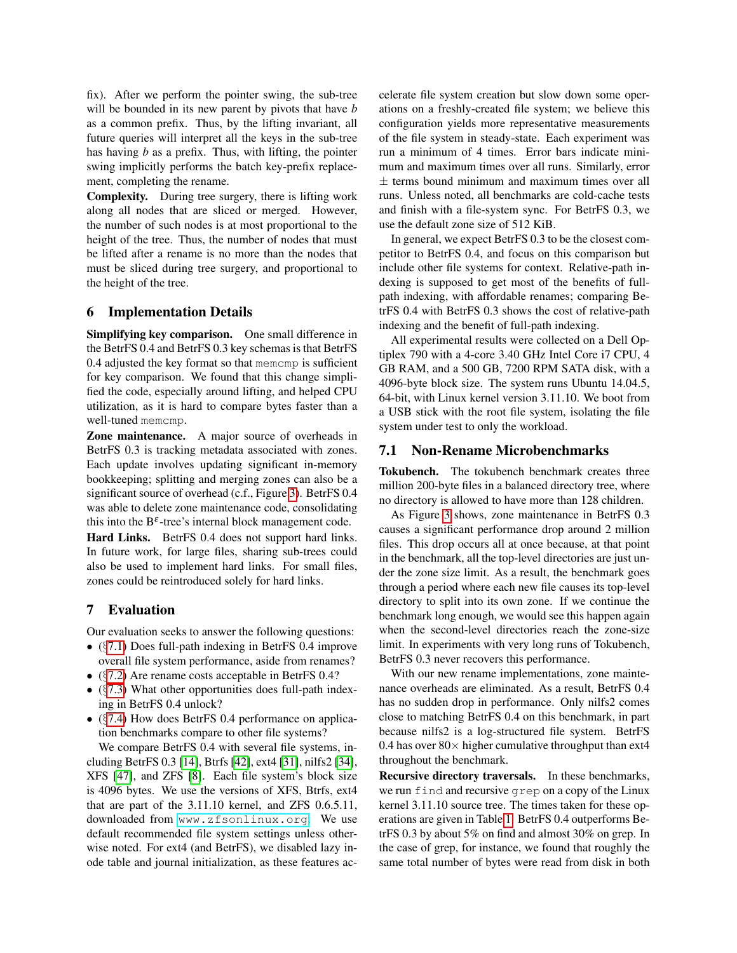fix). After we perform the pointer swing, the sub-tree will be bounded in its new parent by pivots that have *b* as a common prefix. Thus, by the lifting invariant, all future queries will interpret all the keys in the sub-tree has having *b* as a prefix. Thus, with lifting, the pointer swing implicitly performs the batch key-prefix replacement, completing the rename.

Complexity. During tree surgery, there is lifting work along all nodes that are sliced or merged. However, the number of such nodes is at most proportional to the height of the tree. Thus, the number of nodes that must be lifted after a rename is no more than the nodes that must be sliced during tree surgery, and proportional to the height of the tree.

## 6 Implementation Details

Simplifying key comparison. One small difference in the BetrFS 0.4 and BetrFS 0.3 key schemas is that BetrFS 0.4 adjusted the key format so that memcmp is sufficient for key comparison. We found that this change simplified the code, especially around lifting, and helped CPU utilization, as it is hard to compare bytes faster than a well-tuned memcmp.

Zone maintenance. A major source of overheads in BetrFS 0.3 is tracking metadata associated with zones. Each update involves updating significant in-memory bookkeeping; splitting and merging zones can also be a significant source of overhead (c.f., Figure [3\)](#page-8-0). BetrFS 0.4 was able to delete zone maintenance code, consolidating this into the  $B^{\varepsilon}$ -tree's internal block management code.

Hard Links. BetrFS 0.4 does not support hard links. In future work, for large files, sharing sub-trees could also be used to implement hard links. For small files, zones could be reintroduced solely for hard links.

## 7 Evaluation

Our evaluation seeks to answer the following questions:

- (§[7.1\)](#page-7-0) Does full-path indexing in BetrFS 0.4 improve overall file system performance, aside from renames?
- (§[7.2\)](#page-8-1) Are rename costs acceptable in BetrFS 0.4?
- ( $\S$ [7.3\)](#page-9-0) What other opportunities does full-path indexing in BetrFS 0.4 unlock?
- ( $\S$ [7.4\)](#page-10-1) How does BetrFS 0.4 performance on application benchmarks compare to other file systems?

We compare BetrFS 0.4 with several file systems, including BetrFS 0.3 [\[14\]](#page-12-0), Btrfs [\[42\]](#page-14-6), ext4 [\[31\]](#page-13-4), nilfs2 [\[34\]](#page-14-7), XFS [\[47\]](#page-14-8), and ZFS [\[8\]](#page-12-7). Each file system's block size is 4096 bytes. We use the versions of XFS, Btrfs, ext4 that are part of the 3.11.10 kernel, and ZFS 0.6.5.11, downloaded from <www.zfsonlinux.org>. We use default recommended file system settings unless otherwise noted. For ext4 (and BetrFS), we disabled lazy inode table and journal initialization, as these features accelerate file system creation but slow down some operations on a freshly-created file system; we believe this configuration yields more representative measurements of the file system in steady-state. Each experiment was run a minimum of 4 times. Error bars indicate minimum and maximum times over all runs. Similarly, error  $\pm$  terms bound minimum and maximum times over all runs. Unless noted, all benchmarks are cold-cache tests and finish with a file-system sync. For BetrFS 0.3, we use the default zone size of 512 KiB.

In general, we expect BetrFS 0.3 to be the closest competitor to BetrFS 0.4, and focus on this comparison but include other file systems for context. Relative-path indexing is supposed to get most of the benefits of fullpath indexing, with affordable renames; comparing BetrFS 0.4 with BetrFS 0.3 shows the cost of relative-path indexing and the benefit of full-path indexing.

All experimental results were collected on a Dell Optiplex 790 with a 4-core 3.40 GHz Intel Core i7 CPU, 4 GB RAM, and a 500 GB, 7200 RPM SATA disk, with a 4096-byte block size. The system runs Ubuntu 14.04.5, 64-bit, with Linux kernel version 3.11.10. We boot from a USB stick with the root file system, isolating the file system under test to only the workload.

## <span id="page-7-0"></span>7.1 Non-Rename Microbenchmarks

Tokubench. The tokubench benchmark creates three million 200-byte files in a balanced directory tree, where no directory is allowed to have more than 128 children.

As Figure [3](#page-8-0) shows, zone maintenance in BetrFS 0.3 causes a significant performance drop around 2 million files. This drop occurs all at once because, at that point in the benchmark, all the top-level directories are just under the zone size limit. As a result, the benchmark goes through a period where each new file causes its top-level directory to split into its own zone. If we continue the benchmark long enough, we would see this happen again when the second-level directories reach the zone-size limit. In experiments with very long runs of Tokubench, BetrFS 0.3 never recovers this performance.

With our new rename implementations, zone maintenance overheads are eliminated. As a result, BetrFS 0.4 has no sudden drop in performance. Only nilfs2 comes close to matching BetrFS 0.4 on this benchmark, in part because nilfs2 is a log-structured file system. BetrFS 0.4 has over  $80\times$  higher cumulative throughput than ext4 throughout the benchmark.

Recursive directory traversals. In these benchmarks, we run find and recursive grep on a copy of the Linux kernel 3.11.10 source tree. The times taken for these operations are given in Table [1.](#page-8-2) BetrFS 0.4 outperforms BetrFS 0.3 by about 5% on find and almost 30% on grep. In the case of grep, for instance, we found that roughly the same total number of bytes were read from disk in both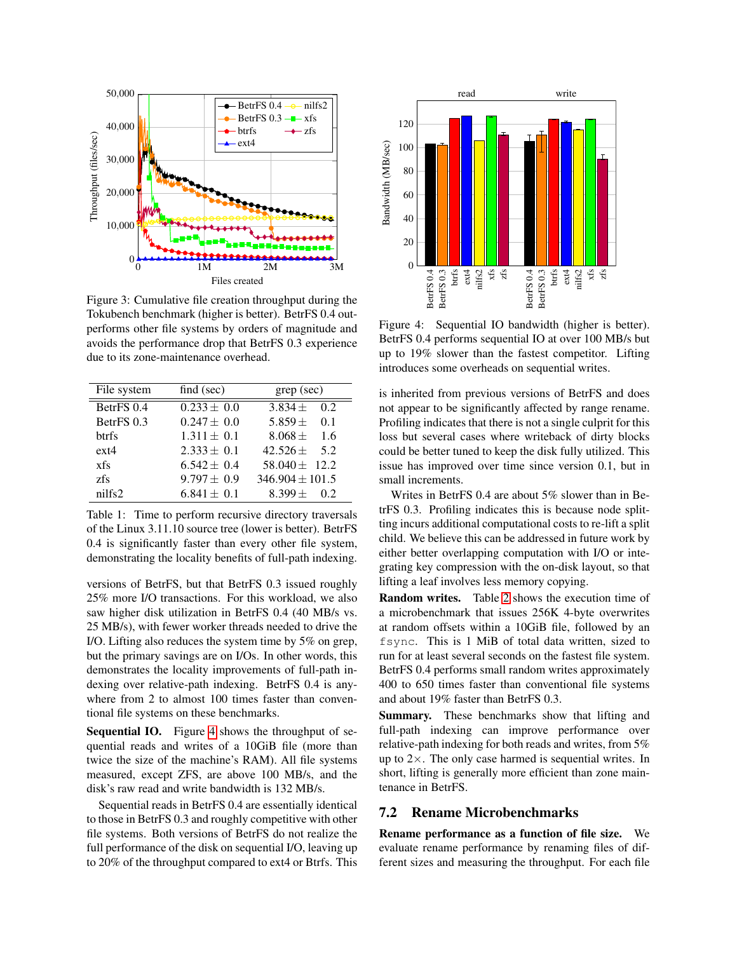<span id="page-8-0"></span>

Figure 3: Cumulative file creation throughput during the Tokubench benchmark (higher is better). BetrFS 0.4 outperforms other file systems by orders of magnitude and avoids the performance drop that BetrFS 0.3 experience due to its zone-maintenance overhead.

<span id="page-8-2"></span>

| File system  | find $(\sec)$   | $\text{grey}$ (sec) |  |
|--------------|-----------------|---------------------|--|
| BetrFS 0.4   | $0.233 \pm 0.0$ | $3.834 \pm 0.2$     |  |
| BetrFS 0.3   | $0.247 \pm 0.0$ | $5.859 \pm 0.1$     |  |
| <b>btrfs</b> | $1.311 \pm 0.1$ | $8.068 \pm 1.6$     |  |
| $ext{4}$     | $2.333 \pm 0.1$ | $42.526 \pm 5.2$    |  |
| xfs          | $6.542 \pm 0.4$ | 58.040 $\pm$ 12.2   |  |
| zfs          | $9.797 \pm 0.9$ | $346.904 \pm 101.5$ |  |
| nilfs2       | $6.841 \pm 0.1$ | $8.399 +$<br>02     |  |

Table 1: Time to perform recursive directory traversals of the Linux 3.11.10 source tree (lower is better). BetrFS 0.4 is significantly faster than every other file system, demonstrating the locality benefits of full-path indexing.

versions of BetrFS, but that BetrFS 0.3 issued roughly 25% more I/O transactions. For this workload, we also saw higher disk utilization in BetrFS 0.4 (40 MB/s vs. 25 MB/s), with fewer worker threads needed to drive the I/O. Lifting also reduces the system time by 5% on grep, but the primary savings are on I/Os. In other words, this demonstrates the locality improvements of full-path indexing over relative-path indexing. BetrFS 0.4 is anywhere from 2 to almost 100 times faster than conventional file systems on these benchmarks.

Sequential IO. Figure [4](#page-8-3) shows the throughput of sequential reads and writes of a 10GiB file (more than twice the size of the machine's RAM). All file systems measured, except ZFS, are above 100 MB/s, and the disk's raw read and write bandwidth is 132 MB/s.

Sequential reads in BetrFS 0.4 are essentially identical to those in BetrFS 0.3 and roughly competitive with other file systems. Both versions of BetrFS do not realize the full performance of the disk on sequential I/O, leaving up to 20% of the throughput compared to ext4 or Btrfs. This

<span id="page-8-3"></span>

Figure 4: Sequential IO bandwidth (higher is better). BetrFS 0.4 performs sequential IO at over 100 MB/s but up to 19% slower than the fastest competitor. Lifting introduces some overheads on sequential writes.

is inherited from previous versions of BetrFS and does not appear to be significantly affected by range rename. Profiling indicates that there is not a single culprit for this loss but several cases where writeback of dirty blocks could be better tuned to keep the disk fully utilized. This issue has improved over time since version 0.1, but in small increments.

Writes in BetrFS 0.4 are about 5% slower than in BetrFS 0.3. Profiling indicates this is because node splitting incurs additional computational costs to re-lift a split child. We believe this can be addressed in future work by either better overlapping computation with I/O or integrating key compression with the on-disk layout, so that lifting a leaf involves less memory copying.

Random writes. Table [2](#page-9-1) shows the execution time of a microbenchmark that issues 256K 4-byte overwrites at random offsets within a 10GiB file, followed by an fsync. This is 1 MiB of total data written, sized to run for at least several seconds on the fastest file system. BetrFS 0.4 performs small random writes approximately 400 to 650 times faster than conventional file systems and about 19% faster than BetrFS 0.3.

Summary. These benchmarks show that lifting and full-path indexing can improve performance over relative-path indexing for both reads and writes, from 5% up to  $2\times$ . The only case harmed is sequential writes. In short, lifting is generally more efficient than zone maintenance in BetrFS.

## <span id="page-8-1"></span>7.2 Rename Microbenchmarks

Rename performance as a function of file size. We evaluate rename performance by renaming files of different sizes and measuring the throughput. For each file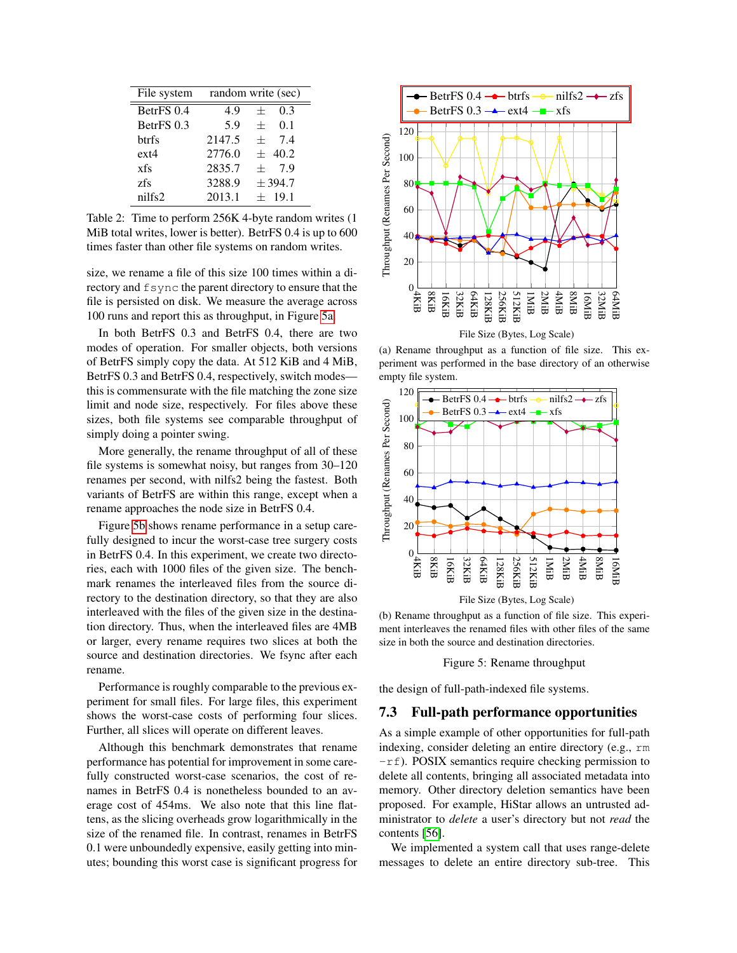<span id="page-9-1"></span>

| File system  |        | random write (sec) |
|--------------|--------|--------------------|
| BetrFS 0.4   | 4.9    | 0.3<br>$^{+}$      |
| BetrFS 0.3   | 5.9    | 0.1<br>$^{+}$      |
| <b>btrfs</b> | 2147.5 | 74<br>$+$          |
| $ext{4}$     | 2776.0 | $+ 40.2$           |
| xfs          | 2835.7 | 7 9<br>$^{+}$      |
| zfs          | 3288.9 | ± 394.7            |
| nilfs2       | 2013.1 | $\pm$ 19.1         |

Table 2: Time to perform 256K 4-byte random writes (1 MiB total writes, lower is better). BetrFS 0.4 is up to 600 times faster than other file systems on random writes.

size, we rename a file of this size 100 times within a directory and  $f$ sync the parent directory to ensure that the file is persisted on disk. We measure the average across 100 runs and report this as throughput, in Figure [5a.](#page-9-2)

In both BetrFS 0.3 and BetrFS 0.4, there are two modes of operation. For smaller objects, both versions of BetrFS simply copy the data. At 512 KiB and 4 MiB, BetrFS 0.3 and BetrFS 0.4, respectively, switch modes this is commensurate with the file matching the zone size limit and node size, respectively. For files above these sizes, both file systems see comparable throughput of simply doing a pointer swing.

More generally, the rename throughput of all of these file systems is somewhat noisy, but ranges from 30–120 renames per second, with nilfs2 being the fastest. Both variants of BetrFS are within this range, except when a rename approaches the node size in BetrFS 0.4.

Figure [5b](#page-9-2) shows rename performance in a setup carefully designed to incur the worst-case tree surgery costs in BetrFS 0.4. In this experiment, we create two directories, each with 1000 files of the given size. The benchmark renames the interleaved files from the source directory to the destination directory, so that they are also interleaved with the files of the given size in the destination directory. Thus, when the interleaved files are 4MB or larger, every rename requires two slices at both the source and destination directories. We fsync after each rename.

Performance is roughly comparable to the previous experiment for small files. For large files, this experiment shows the worst-case costs of performing four slices. Further, all slices will operate on different leaves.

Although this benchmark demonstrates that rename performance has potential for improvement in some carefully constructed worst-case scenarios, the cost of renames in BetrFS 0.4 is nonetheless bounded to an average cost of 454ms. We also note that this line flattens, as the slicing overheads grow logarithmically in the size of the renamed file. In contrast, renames in BetrFS 0.1 were unboundedly expensive, easily getting into minutes; bounding this worst case is significant progress for

<span id="page-9-2"></span>

(a) Rename throughput as a function of file size. This experiment was performed in the base directory of an otherwise empty file system.



File Size (Bytes, Log Scale)

(b) Rename throughput as a function of file size. This experiment interleaves the renamed files with other files of the same size in both the source and destination directories.

Figure 5: Rename throughput

the design of full-path-indexed file systems.

#### <span id="page-9-0"></span>7.3 Full-path performance opportunities

As a simple example of other opportunities for full-path indexing, consider deleting an entire directory (e.g., rm  $-rf$ ). POSIX semantics require checking permission to delete all contents, bringing all associated metadata into memory. Other directory deletion semantics have been proposed. For example, HiStar allows an untrusted administrator to *delete* a user's directory but not *read* the contents [\[56\]](#page-15-2).

We implemented a system call that uses range-delete messages to delete an entire directory sub-tree. This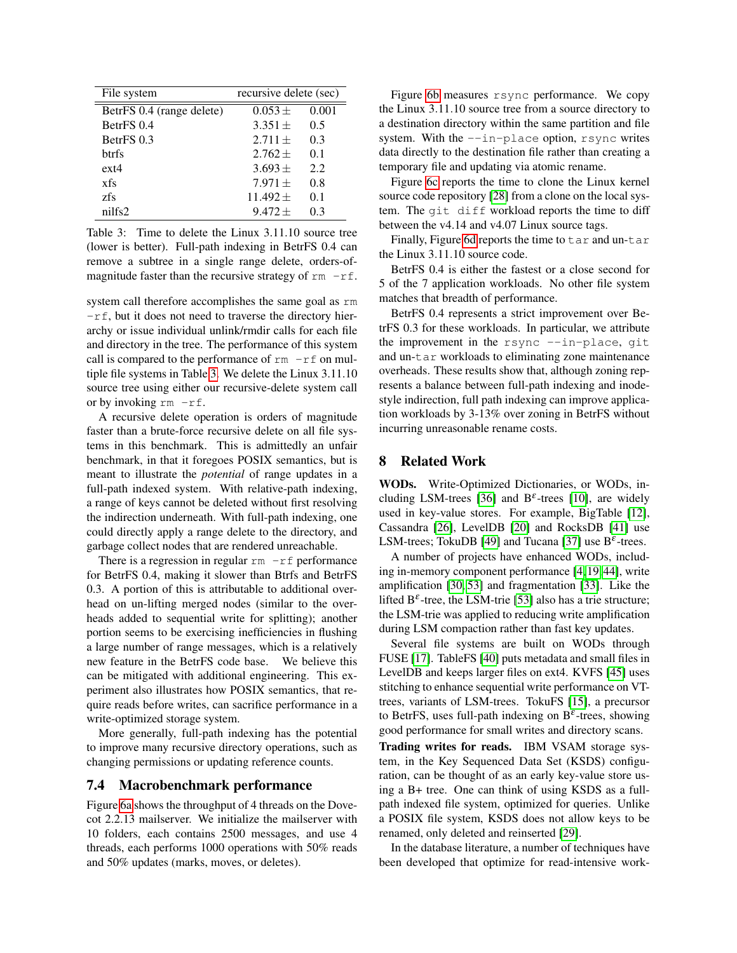<span id="page-10-0"></span>

| File system               | recursive delete (sec) |       |  |
|---------------------------|------------------------|-------|--|
| BetrFS 0.4 (range delete) | $0.053 +$              | 0.001 |  |
| BetrFS 0.4                | $3.351 +$              | 0.5   |  |
| BetrFS 0.3                | $2.711 +$              | 0.3   |  |
| htrfs                     | $2.762 +$              | 0.1   |  |
| $ext{4}$                  | $3.693 +$              | 2.2   |  |
| xfs                       | $7.971 +$              | 0.8   |  |
| zfs                       | $11.492 \pm$           | 0.1   |  |
| nilfs2                    | $9.472 +$              | 0.3   |  |

Table 3: Time to delete the Linux 3.11.10 source tree (lower is better). Full-path indexing in BetrFS 0.4 can remove a subtree in a single range delete, orders-ofmagnitude faster than the recursive strategy of  $rm -rf$ .

system call therefore accomplishes the same goal as rm -rf, but it does not need to traverse the directory hierarchy or issue individual unlink/rmdir calls for each file and directory in the tree. The performance of this system call is compared to the performance of  $rm -rf$  on multiple file systems in Table [3.](#page-10-0) We delete the Linux 3.11.10 source tree using either our recursive-delete system call or by invoking  $rm -rf$ .

A recursive delete operation is orders of magnitude faster than a brute-force recursive delete on all file systems in this benchmark. This is admittedly an unfair benchmark, in that it foregoes POSIX semantics, but is meant to illustrate the *potential* of range updates in a full-path indexed system. With relative-path indexing, a range of keys cannot be deleted without first resolving the indirection underneath. With full-path indexing, one could directly apply a range delete to the directory, and garbage collect nodes that are rendered unreachable.

There is a regression in regular  $rm -rf$  performance for BetrFS 0.4, making it slower than Btrfs and BetrFS 0.3. A portion of this is attributable to additional overhead on un-lifting merged nodes (similar to the overheads added to sequential write for splitting); another portion seems to be exercising inefficiencies in flushing a large number of range messages, which is a relatively new feature in the BetrFS code base. We believe this can be mitigated with additional engineering. This experiment also illustrates how POSIX semantics, that require reads before writes, can sacrifice performance in a write-optimized storage system.

More generally, full-path indexing has the potential to improve many recursive directory operations, such as changing permissions or updating reference counts.

## <span id="page-10-1"></span>7.4 Macrobenchmark performance

Figure [6a](#page-11-0) shows the throughput of 4 threads on the Dovecot 2.2.13 mailserver. We initialize the mailserver with 10 folders, each contains 2500 messages, and use 4 threads, each performs 1000 operations with 50% reads and 50% updates (marks, moves, or deletes).

Figure [6b](#page-11-0) measures rsync performance. We copy the Linux 3.11.10 source tree from a source directory to a destination directory within the same partition and file system. With the  $-\text{in-place}$  option, rsync writes data directly to the destination file rather than creating a temporary file and updating via atomic rename.

Figure [6c](#page-11-0) reports the time to clone the Linux kernel source code repository [\[28\]](#page-13-5) from a clone on the local system. The git diff workload reports the time to diff between the v4.14 and v4.07 Linux source tags.

Finally, Figure [6d](#page-11-0) reports the time to tar and un-tar the Linux 3.11.10 source code.

BetrFS 0.4 is either the fastest or a close second for 5 of the 7 application workloads. No other file system matches that breadth of performance.

BetrFS 0.4 represents a strict improvement over BetrFS 0.3 for these workloads. In particular, we attribute the improvement in the  $rsync$   $--in-plane$ , git and un-tar workloads to eliminating zone maintenance overheads. These results show that, although zoning represents a balance between full-path indexing and inodestyle indirection, full path indexing can improve application workloads by 3-13% over zoning in BetrFS without incurring unreasonable rename costs.

## 8 Related Work

WODs. Write-Optimized Dictionaries, or WODs, in-cluding LSM-trees [\[36\]](#page-14-0) and  $B^{\varepsilon}$ -trees [\[10\]](#page-12-6), are widely used in key-value stores. For example, BigTable [\[12\]](#page-12-8), Cassandra [\[26\]](#page-13-6), LevelDB [\[20\]](#page-13-7) and RocksDB [\[41\]](#page-14-9) use LSM-trees; TokuDB [\[49\]](#page-14-10) and Tucana [\[37\]](#page-14-11) use  $B^{\varepsilon}$ -trees.

A number of projects have enhanced WODs, including in-memory component performance [\[4,](#page-12-9) [19,](#page-13-8) [44\]](#page-14-2), write amplification [\[30,](#page-13-9) [53\]](#page-15-3) and fragmentation [\[33\]](#page-14-12). Like the lifted  $B^{\varepsilon}$ -tree, the LSM-trie [\[53\]](#page-15-3) also has a trie structure; the LSM-trie was applied to reducing write amplification during LSM compaction rather than fast key updates.

Several file systems are built on WODs through FUSE [\[17\]](#page-13-10). TableFS [\[40\]](#page-14-13) puts metadata and small files in LevelDB and keeps larger files on ext4. KVFS [\[45\]](#page-14-14) uses stitching to enhance sequential write performance on VTtrees, variants of LSM-trees. TokuFS [\[15\]](#page-12-1), a precursor to BetrFS, uses full-path indexing on  $B^{\varepsilon}$ -trees, showing good performance for small writes and directory scans.

Trading writes for reads. IBM VSAM storage system, in the Key Sequenced Data Set (KSDS) configuration, can be thought of as an early key-value store using a B+ tree. One can think of using KSDS as a fullpath indexed file system, optimized for queries. Unlike a POSIX file system, KSDS does not allow keys to be renamed, only deleted and reinserted [\[29\]](#page-13-11).

In the database literature, a number of techniques have been developed that optimize for read-intensive work-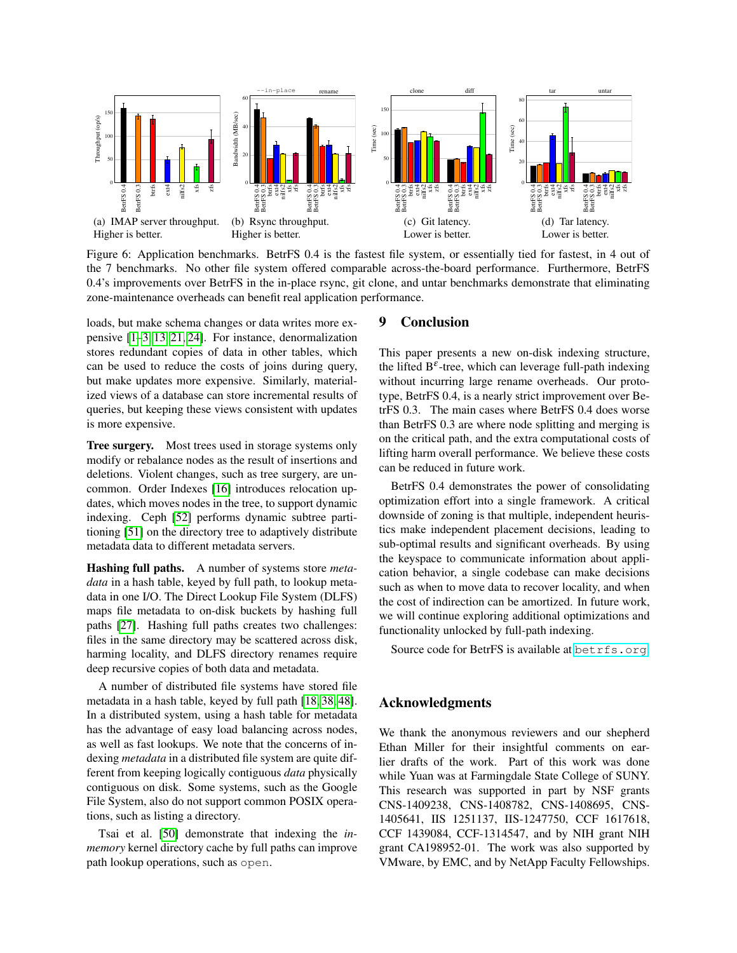<span id="page-11-0"></span>

Figure 6: Application benchmarks. BetrFS 0.4 is the fastest file system, or essentially tied for fastest, in 4 out of the 7 benchmarks. No other file system offered comparable across-the-board performance. Furthermore, BetrFS 0.4's improvements over BetrFS in the in-place rsync, git clone, and untar benchmarks demonstrate that eliminating zone-maintenance overheads can benefit real application performance.

loads, but make schema changes or data writes more expensive [\[1](#page-12-10)[–3,](#page-12-11) [13,](#page-12-12) [21,](#page-13-12) [24\]](#page-13-13). For instance, denormalization stores redundant copies of data in other tables, which can be used to reduce the costs of joins during query, but make updates more expensive. Similarly, materialized views of a database can store incremental results of queries, but keeping these views consistent with updates is more expensive.

Tree surgery. Most trees used in storage systems only modify or rebalance nodes as the result of insertions and deletions. Violent changes, such as tree surgery, are uncommon. Order Indexes [\[16\]](#page-13-14) introduces relocation updates, which moves nodes in the tree, to support dynamic indexing. Ceph [\[52\]](#page-15-4) performs dynamic subtree partitioning [\[51\]](#page-15-5) on the directory tree to adaptively distribute metadata data to different metadata servers.

Hashing full paths. A number of systems store *metadata* in a hash table, keyed by full path, to lookup metadata in one I/O. The Direct Lookup File System (DLFS) maps file metadata to on-disk buckets by hashing full paths [\[27\]](#page-13-15). Hashing full paths creates two challenges: files in the same directory may be scattered across disk, harming locality, and DLFS directory renames require deep recursive copies of both data and metadata.

A number of distributed file systems have stored file metadata in a hash table, keyed by full path [\[18,](#page-13-16) [38,](#page-14-15) [48\]](#page-14-16). In a distributed system, using a hash table for metadata has the advantage of easy load balancing across nodes, as well as fast lookups. We note that the concerns of indexing *metadata* in a distributed file system are quite different from keeping logically contiguous *data* physically contiguous on disk. Some systems, such as the Google File System, also do not support common POSIX operations, such as listing a directory.

Tsai et al. [\[50\]](#page-14-17) demonstrate that indexing the *inmemory* kernel directory cache by full paths can improve path lookup operations, such as open.

## 9 Conclusion

This paper presents a new on-disk indexing structure, the lifted  $B^{\varepsilon}$ -tree, which can leverage full-path indexing without incurring large rename overheads. Our prototype, BetrFS 0.4, is a nearly strict improvement over BetrFS 0.3. The main cases where BetrFS 0.4 does worse than BetrFS 0.3 are where node splitting and merging is on the critical path, and the extra computational costs of lifting harm overall performance. We believe these costs can be reduced in future work.

BetrFS 0.4 demonstrates the power of consolidating optimization effort into a single framework. A critical downside of zoning is that multiple, independent heuristics make independent placement decisions, leading to sub-optimal results and significant overheads. By using the keyspace to communicate information about application behavior, a single codebase can make decisions such as when to move data to recover locality, and when the cost of indirection can be amortized. In future work, we will continue exploring additional optimizations and functionality unlocked by full-path indexing.

Source code for BetrFS is available at <betrfs.org>.

## Acknowledgments

We thank the anonymous reviewers and our shepherd Ethan Miller for their insightful comments on earlier drafts of the work. Part of this work was done while Yuan was at Farmingdale State College of SUNY. This research was supported in part by NSF grants CNS-1409238, CNS-1408782, CNS-1408695, CNS-1405641, IIS 1251137, IIS-1247750, CCF 1617618, CCF 1439084, CCF-1314547, and by NIH grant NIH grant CA198952-01. The work was also supported by VMware, by EMC, and by NetApp Faculty Fellowships.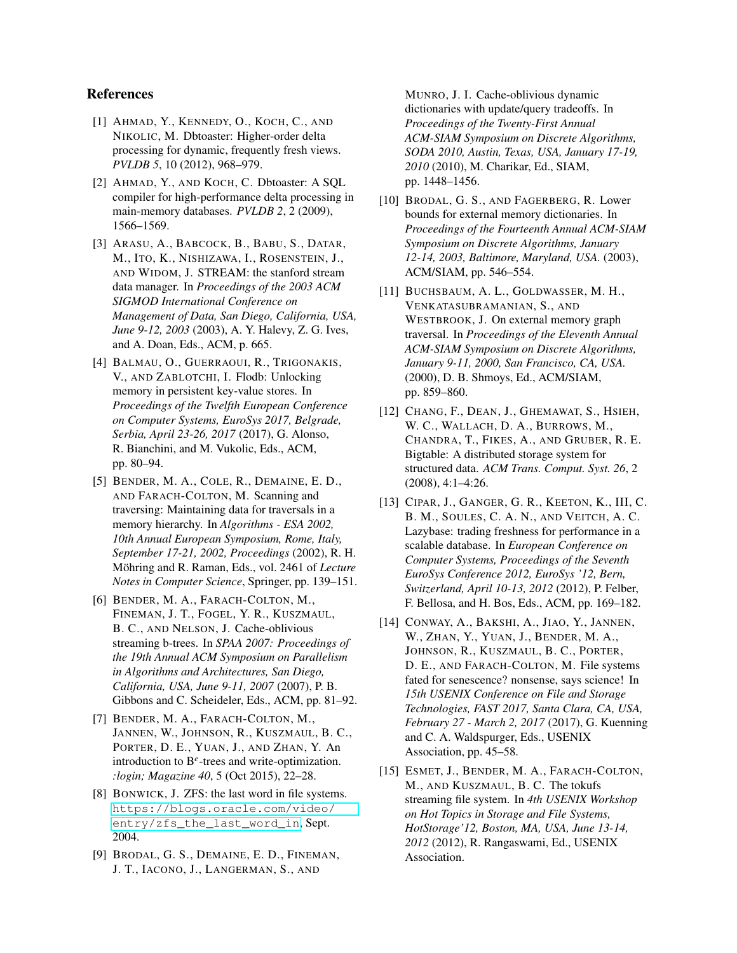## References

- <span id="page-12-10"></span>[1] AHMAD, Y., KENNEDY, O., KOCH, C., AND NIKOLIC, M. Dbtoaster: Higher-order delta processing for dynamic, frequently fresh views. *PVLDB 5*, 10 (2012), 968–979.
- [2] AHMAD, Y., AND KOCH, C. Dbtoaster: A SQL compiler for high-performance delta processing in main-memory databases. *PVLDB 2*, 2 (2009), 1566–1569.
- <span id="page-12-11"></span>[3] ARASU, A., BABCOCK, B., BABU, S., DATAR, M., ITO, K., NISHIZAWA, I., ROSENSTEIN, J., AND WIDOM, J. STREAM: the stanford stream data manager. In *Proceedings of the 2003 ACM SIGMOD International Conference on Management of Data, San Diego, California, USA, June 9-12, 2003* (2003), A. Y. Halevy, Z. G. Ives, and A. Doan, Eds., ACM, p. 665.
- <span id="page-12-9"></span>[4] BALMAU, O., GUERRAOUI, R., TRIGONAKIS, V., AND ZABLOTCHI, I. Flodb: Unlocking memory in persistent key-value stores. In *Proceedings of the Twelfth European Conference on Computer Systems, EuroSys 2017, Belgrade, Serbia, April 23-26, 2017* (2017), G. Alonso, R. Bianchini, and M. Vukolic, Eds., ACM, pp. 80–94.
- <span id="page-12-2"></span>[5] BENDER, M. A., COLE, R., DEMAINE, E. D., AND FARACH-COLTON, M. Scanning and traversing: Maintaining data for traversals in a memory hierarchy. In *Algorithms - ESA 2002, 10th Annual European Symposium, Rome, Italy, September 17-21, 2002, Proceedings* (2002), R. H. Möhring and R. Raman, Eds., vol. 2461 of *Lecture Notes in Computer Science*, Springer, pp. 139–151.
- [6] BENDER, M. A., FARACH-COLTON, M., FINEMAN, J. T., FOGEL, Y. R., KUSZMAUL, B. C., AND NELSON, J. Cache-oblivious streaming b-trees. In *SPAA 2007: Proceedings of the 19th Annual ACM Symposium on Parallelism in Algorithms and Architectures, San Diego, California, USA, June 9-11, 2007* (2007), P. B. Gibbons and C. Scheideler, Eds., ACM, pp. 81–92.
- <span id="page-12-3"></span>[7] BENDER, M. A., FARACH-COLTON, M., JANNEN, W., JOHNSON, R., KUSZMAUL, B. C., PORTER, D. E., YUAN, J., AND ZHAN, Y. An introduction to B*<sup>e</sup>* -trees and write-optimization. *:login; Magazine 40*, 5 (Oct 2015), 22–28.
- <span id="page-12-7"></span>[8] BONWICK, J. ZFS: the last word in file systems. [https://blogs.oracle.com/video/](https://blogs.oracle.com/video/entry/zfs_the_last_word_in) [entry/zfs\\_the\\_last\\_word\\_in](https://blogs.oracle.com/video/entry/zfs_the_last_word_in), Sept. 2004.
- <span id="page-12-4"></span>[9] BRODAL, G. S., DEMAINE, E. D., FINEMAN, J. T., IACONO, J., LANGERMAN, S., AND

MUNRO, J. I. Cache-oblivious dynamic dictionaries with update/query tradeoffs. In *Proceedings of the Twenty-First Annual ACM-SIAM Symposium on Discrete Algorithms, SODA 2010, Austin, Texas, USA, January 17-19, 2010* (2010), M. Charikar, Ed., SIAM, pp. 1448–1456.

- <span id="page-12-6"></span>[10] BRODAL, G. S., AND FAGERBERG, R. Lower bounds for external memory dictionaries. In *Proceedings of the Fourteenth Annual ACM-SIAM Symposium on Discrete Algorithms, January 12-14, 2003, Baltimore, Maryland, USA.* (2003), ACM/SIAM, pp. 546–554.
- <span id="page-12-5"></span>[11] BUCHSBAUM, A. L., GOLDWASSER, M. H., VENKATASUBRAMANIAN, S., AND WESTBROOK, J. On external memory graph traversal. In *Proceedings of the Eleventh Annual ACM-SIAM Symposium on Discrete Algorithms, January 9-11, 2000, San Francisco, CA, USA.* (2000), D. B. Shmoys, Ed., ACM/SIAM, pp. 859–860.
- <span id="page-12-8"></span>[12] CHANG, F., DEAN, J., GHEMAWAT, S., HSIEH, W. C., WALLACH, D. A., BURROWS, M., CHANDRA, T., FIKES, A., AND GRUBER, R. E. Bigtable: A distributed storage system for structured data. *ACM Trans. Comput. Syst. 26*, 2 (2008), 4:1–4:26.
- <span id="page-12-12"></span>[13] CIPAR, J., GANGER, G. R., KEETON, K., III, C. B. M., SOULES, C. A. N., AND VEITCH, A. C. Lazybase: trading freshness for performance in a scalable database. In *European Conference on Computer Systems, Proceedings of the Seventh EuroSys Conference 2012, EuroSys '12, Bern, Switzerland, April 10-13, 2012* (2012), P. Felber, F. Bellosa, and H. Bos, Eds., ACM, pp. 169–182.
- <span id="page-12-0"></span>[14] CONWAY, A., BAKSHI, A., JIAO, Y., JANNEN, W., ZHAN, Y., YUAN, J., BENDER, M. A., JOHNSON, R., KUSZMAUL, B. C., PORTER, D. E., AND FARACH-COLTON, M. File systems fated for senescence? nonsense, says science! In *15th USENIX Conference on File and Storage Technologies, FAST 2017, Santa Clara, CA, USA, February 27 - March 2, 2017* (2017), G. Kuenning and C. A. Waldspurger, Eds., USENIX Association, pp. 45–58.
- <span id="page-12-1"></span>[15] ESMET, J., BENDER, M. A., FARACH-COLTON, M., AND KUSZMAUL, B. C. The tokufs streaming file system. In *4th USENIX Workshop on Hot Topics in Storage and File Systems, HotStorage'12, Boston, MA, USA, June 13-14, 2012* (2012), R. Rangaswami, Ed., USENIX Association.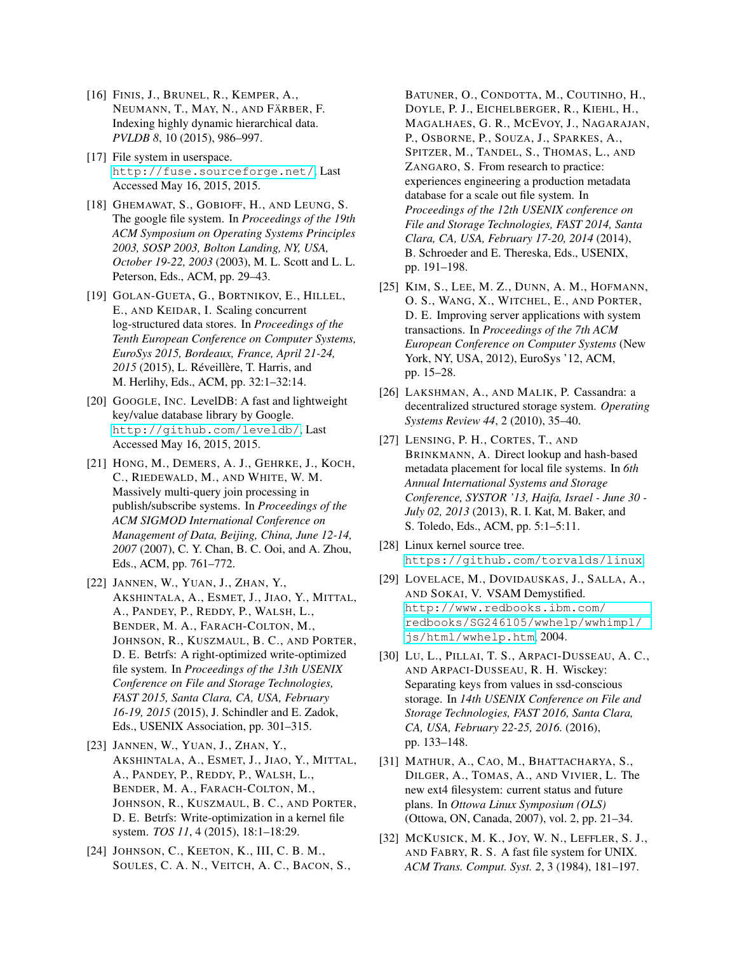- <span id="page-13-14"></span>[16] FINIS, J., BRUNEL, R., KEMPER, A., NEUMANN, T., MAY, N., AND FÄRBER, F. Indexing highly dynamic hierarchical data. *PVLDB 8*, 10 (2015), 986–997.
- <span id="page-13-10"></span>[17] File system in userspace. <http://fuse.sourceforge.net/>, Last Accessed May 16, 2015, 2015.
- <span id="page-13-16"></span>[18] GHEMAWAT, S., GOBIOFF, H., AND LEUNG, S. The google file system. In *Proceedings of the 19th ACM Symposium on Operating Systems Principles 2003, SOSP 2003, Bolton Landing, NY, USA, October 19-22, 2003* (2003), M. L. Scott and L. L. Peterson, Eds., ACM, pp. 29–43.
- <span id="page-13-8"></span>[19] GOLAN-GUETA, G., BORTNIKOV, E., HILLEL, E., AND KEIDAR, I. Scaling concurrent log-structured data stores. In *Proceedings of the Tenth European Conference on Computer Systems, EuroSys 2015, Bordeaux, France, April 21-24, 2015* (2015), L. Réveillère, T. Harris, and M. Herlihy, Eds., ACM, pp. 32:1–32:14.
- <span id="page-13-7"></span>[20] GOOGLE, INC. LevelDB: A fast and lightweight key/value database library by Google. <http://github.com/leveldb/>, Last Accessed May 16, 2015, 2015.
- <span id="page-13-12"></span>[21] HONG, M., DEMERS, A. J., GEHRKE, J., KOCH, C., RIEDEWALD, M., AND WHITE, W. M. Massively multi-query join processing in publish/subscribe systems. In *Proceedings of the ACM SIGMOD International Conference on Management of Data, Beijing, China, June 12-14, 2007* (2007), C. Y. Chan, B. C. Ooi, and A. Zhou, Eds., ACM, pp. 761–772.
- <span id="page-13-1"></span>[22] JANNEN, W., YUAN, J., ZHAN, Y., AKSHINTALA, A., ESMET, J., JIAO, Y., MITTAL, A., PANDEY, P., REDDY, P., WALSH, L., BENDER, M. A., FARACH-COLTON, M., JOHNSON, R., KUSZMAUL, B. C., AND PORTER, D. E. Betrfs: A right-optimized write-optimized file system. In *Proceedings of the 13th USENIX Conference on File and Storage Technologies, FAST 2015, Santa Clara, CA, USA, February 16-19, 2015* (2015), J. Schindler and E. Zadok, Eds., USENIX Association, pp. 301–315.
- <span id="page-13-2"></span>[23] JANNEN, W., YUAN, J., ZHAN, Y., AKSHINTALA, A., ESMET, J., JIAO, Y., MITTAL, A., PANDEY, P., REDDY, P., WALSH, L., BENDER, M. A., FARACH-COLTON, M., JOHNSON, R., KUSZMAUL, B. C., AND PORTER, D. E. Betrfs: Write-optimization in a kernel file system. *TOS 11*, 4 (2015), 18:1–18:29.
- <span id="page-13-13"></span>[24] JOHNSON, C., KEETON, K., III, C. B. M., SOULES, C. A. N., VEITCH, A. C., BACON, S.,

BATUNER, O., CONDOTTA, M., COUTINHO, H., DOYLE, P. J., EICHELBERGER, R., KIEHL, H., MAGALHAES, G. R., MCEVOY, J., NAGARAJAN, P., OSBORNE, P., SOUZA, J., SPARKES, A., SPITZER, M., TANDEL, S., THOMAS, L., AND ZANGARO, S. From research to practice: experiences engineering a production metadata database for a scale out file system. In *Proceedings of the 12th USENIX conference on File and Storage Technologies, FAST 2014, Santa Clara, CA, USA, February 17-20, 2014* (2014), B. Schroeder and E. Thereska, Eds., USENIX, pp. 191–198.

- <span id="page-13-3"></span>[25] KIM, S., LEE, M. Z., DUNN, A. M., HOFMANN, O. S., WANG, X., WITCHEL, E., AND PORTER, D. E. Improving server applications with system transactions. In *Proceedings of the 7th ACM European Conference on Computer Systems* (New York, NY, USA, 2012), EuroSys '12, ACM, pp. 15–28.
- <span id="page-13-6"></span>[26] LAKSHMAN, A., AND MALIK, P. Cassandra: a decentralized structured storage system. *Operating Systems Review 44*, 2 (2010), 35–40.
- <span id="page-13-15"></span>[27] LENSING, P. H., CORTES, T., AND BRINKMANN, A. Direct lookup and hash-based metadata placement for local file systems. In *6th Annual International Systems and Storage Conference, SYSTOR '13, Haifa, Israel - June 30 - July 02, 2013* (2013), R. I. Kat, M. Baker, and S. Toledo, Eds., ACM, pp. 5:1–5:11.
- <span id="page-13-5"></span>[28] Linux kernel source tree. <https://github.com/torvalds/linux>.
- <span id="page-13-11"></span>[29] LOVELACE, M., DOVIDAUSKAS, J., SALLA, A., AND SOKAI, V. VSAM Demystified. [http://www.redbooks.ibm.com/](http://www.redbooks.ibm.com/redbooks/SG246105/wwhelp/wwhimpl/js/html/wwhelp.htm) [redbooks/SG246105/wwhelp/wwhimpl/](http://www.redbooks.ibm.com/redbooks/SG246105/wwhelp/wwhimpl/js/html/wwhelp.htm) [js/html/wwhelp.htm](http://www.redbooks.ibm.com/redbooks/SG246105/wwhelp/wwhimpl/js/html/wwhelp.htm), 2004.
- <span id="page-13-9"></span>[30] LU, L., PILLAI, T. S., ARPACI-DUSSEAU, A. C., AND ARPACI-DUSSEAU, R. H. Wisckey: Separating keys from values in ssd-conscious storage. In *14th USENIX Conference on File and Storage Technologies, FAST 2016, Santa Clara, CA, USA, February 22-25, 2016.* (2016), pp. 133–148.
- <span id="page-13-4"></span>[31] MATHUR, A., CAO, M., BHATTACHARYA, S., DILGER, A., TOMAS, A., AND VIVIER, L. The new ext4 filesystem: current status and future plans. In *Ottowa Linux Symposium (OLS)* (Ottowa, ON, Canada, 2007), vol. 2, pp. 21–34.
- <span id="page-13-0"></span>[32] MCKUSICK, M. K., JOY, W. N., LEFFLER, S. J., AND FABRY, R. S. A fast file system for UNIX. *ACM Trans. Comput. Syst. 2*, 3 (1984), 181–197.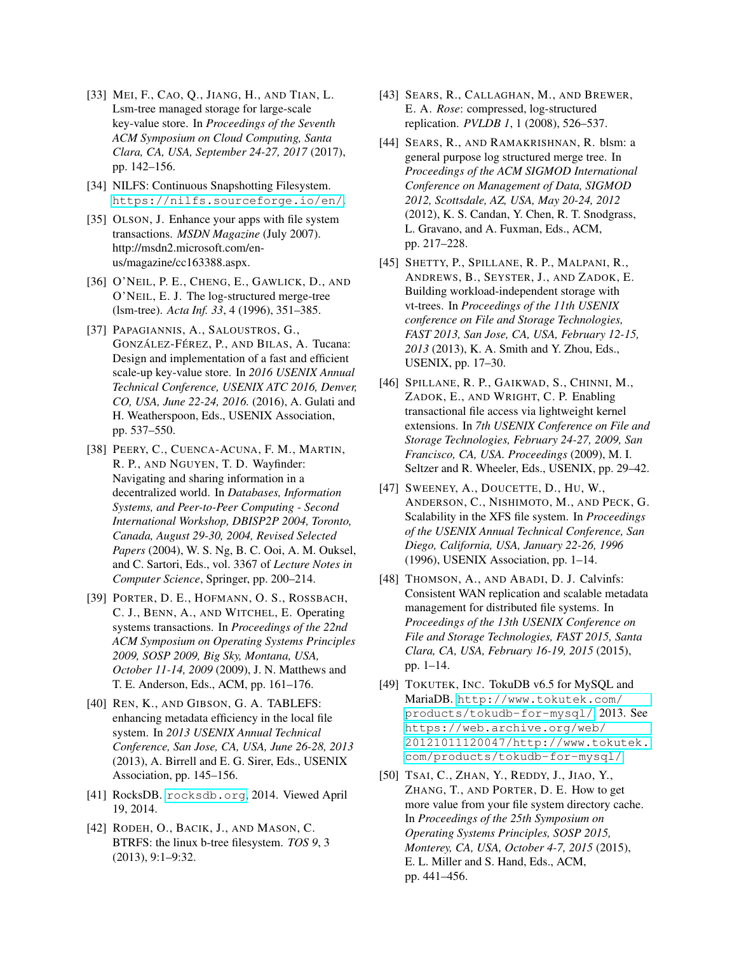- <span id="page-14-12"></span>[33] MEI, F., CAO, Q., JIANG, H., AND TIAN, L. Lsm-tree managed storage for large-scale key-value store. In *Proceedings of the Seventh ACM Symposium on Cloud Computing, Santa Clara, CA, USA, September 24-27, 2017* (2017), pp. 142–156.
- <span id="page-14-7"></span>[34] NILFS: Continuous Snapshotting Filesystem. <https://nilfs.sourceforge.io/en/>.
- <span id="page-14-3"></span>[35] OLSON, J. Enhance your apps with file system transactions. *MSDN Magazine* (July 2007). http://msdn2.microsoft.com/enus/magazine/cc163388.aspx.
- <span id="page-14-0"></span>[36] O'NEIL, P. E., CHENG, E., GAWLICK, D., AND O'NEIL, E. J. The log-structured merge-tree (lsm-tree). *Acta Inf. 33*, 4 (1996), 351–385.
- <span id="page-14-11"></span>[37] PAPAGIANNIS, A., SALOUSTROS, G., GONZÁLEZ-FÉREZ, P., AND BILAS, A. Tucana: Design and implementation of a fast and efficient scale-up key-value store. In *2016 USENIX Annual Technical Conference, USENIX ATC 2016, Denver, CO, USA, June 22-24, 2016.* (2016), A. Gulati and H. Weatherspoon, Eds., USENIX Association, pp. 537–550.
- <span id="page-14-15"></span>[38] PEERY, C., CUENCA-ACUNA, F. M., MARTIN, R. P., AND NGUYEN, T. D. Wayfinder: Navigating and sharing information in a decentralized world. In *Databases, Information Systems, and Peer-to-Peer Computing - Second International Workshop, DBISP2P 2004, Toronto, Canada, August 29-30, 2004, Revised Selected Papers* (2004), W. S. Ng, B. C. Ooi, A. M. Ouksel, and C. Sartori, Eds., vol. 3367 of *Lecture Notes in Computer Science*, Springer, pp. 200–214.
- <span id="page-14-4"></span>[39] PORTER, D. E., HOFMANN, O. S., ROSSBACH, C. J., BENN, A., AND WITCHEL, E. Operating systems transactions. In *Proceedings of the 22nd ACM Symposium on Operating Systems Principles 2009, SOSP 2009, Big Sky, Montana, USA, October 11-14, 2009* (2009), J. N. Matthews and T. E. Anderson, Eds., ACM, pp. 161–176.
- <span id="page-14-13"></span>[40] REN, K., AND GIBSON, G. A. TABLEFS: enhancing metadata efficiency in the local file system. In *2013 USENIX Annual Technical Conference, San Jose, CA, USA, June 26-28, 2013* (2013), A. Birrell and E. G. Sirer, Eds., USENIX Association, pp. 145–156.
- <span id="page-14-9"></span>[41] RocksDB. <rocksdb.org>, 2014. Viewed April 19, 2014.
- <span id="page-14-6"></span>[42] RODEH, O., BACIK, J., AND MASON, C. BTRFS: the linux b-tree filesystem. *TOS 9*, 3 (2013), 9:1–9:32.
- <span id="page-14-1"></span>[43] SEARS, R., CALLAGHAN, M., AND BREWER, E. A. *Rose*: compressed, log-structured replication. *PVLDB 1*, 1 (2008), 526–537.
- <span id="page-14-2"></span>[44] SEARS, R., AND RAMAKRISHNAN, R. blsm: a general purpose log structured merge tree. In *Proceedings of the ACM SIGMOD International Conference on Management of Data, SIGMOD 2012, Scottsdale, AZ, USA, May 20-24, 2012* (2012), K. S. Candan, Y. Chen, R. T. Snodgrass, L. Gravano, and A. Fuxman, Eds., ACM, pp. 217–228.
- <span id="page-14-14"></span>[45] SHETTY, P., SPILLANE, R. P., MALPANI, R., ANDREWS, B., SEYSTER, J., AND ZADOK, E. Building workload-independent storage with vt-trees. In *Proceedings of the 11th USENIX conference on File and Storage Technologies, FAST 2013, San Jose, CA, USA, February 12-15, 2013* (2013), K. A. Smith and Y. Zhou, Eds., USENIX, pp. 17–30.
- <span id="page-14-5"></span>[46] SPILLANE, R. P., GAIKWAD, S., CHINNI, M., ZADOK, E., AND WRIGHT, C. P. Enabling transactional file access via lightweight kernel extensions. In *7th USENIX Conference on File and Storage Technologies, February 24-27, 2009, San Francisco, CA, USA. Proceedings* (2009), M. I. Seltzer and R. Wheeler, Eds., USENIX, pp. 29–42.
- <span id="page-14-8"></span>[47] SWEENEY, A., DOUCETTE, D., HU, W., ANDERSON, C., NISHIMOTO, M., AND PECK, G. Scalability in the XFS file system. In *Proceedings of the USENIX Annual Technical Conference, San Diego, California, USA, January 22-26, 1996* (1996), USENIX Association, pp. 1–14.
- <span id="page-14-16"></span>[48] THOMSON, A., AND ABADI, D. J. Calvinfs: Consistent WAN replication and scalable metadata management for distributed file systems. In *Proceedings of the 13th USENIX Conference on File and Storage Technologies, FAST 2015, Santa Clara, CA, USA, February 16-19, 2015* (2015), pp. 1–14.
- <span id="page-14-10"></span>[49] TOKUTEK, INC. TokuDB v6.5 for MySQL and MariaDB. [http://www.tokutek.com/](http://www.tokutek.com/products/tokudb-for-mysql/) [products/tokudb-for-mysql/](http://www.tokutek.com/products/tokudb-for-mysql/), 2013. See [https://web.archive.org/web/](https://web.archive.org/web/20121011120047/http://www.tokutek.com/products/tokudb-for-mysql/) [20121011120047/http://www.tokutek.](https://web.archive.org/web/20121011120047/http://www.tokutek.com/products/tokudb-for-mysql/) [com/products/tokudb-for-mysql/](https://web.archive.org/web/20121011120047/http://www.tokutek.com/products/tokudb-for-mysql/).
- <span id="page-14-17"></span>[50] TSAI, C., ZHAN, Y., REDDY, J., JIAO, Y., ZHANG, T., AND PORTER, D. E. How to get more value from your file system directory cache. In *Proceedings of the 25th Symposium on Operating Systems Principles, SOSP 2015, Monterey, CA, USA, October 4-7, 2015* (2015), E. L. Miller and S. Hand, Eds., ACM, pp. 441–456.